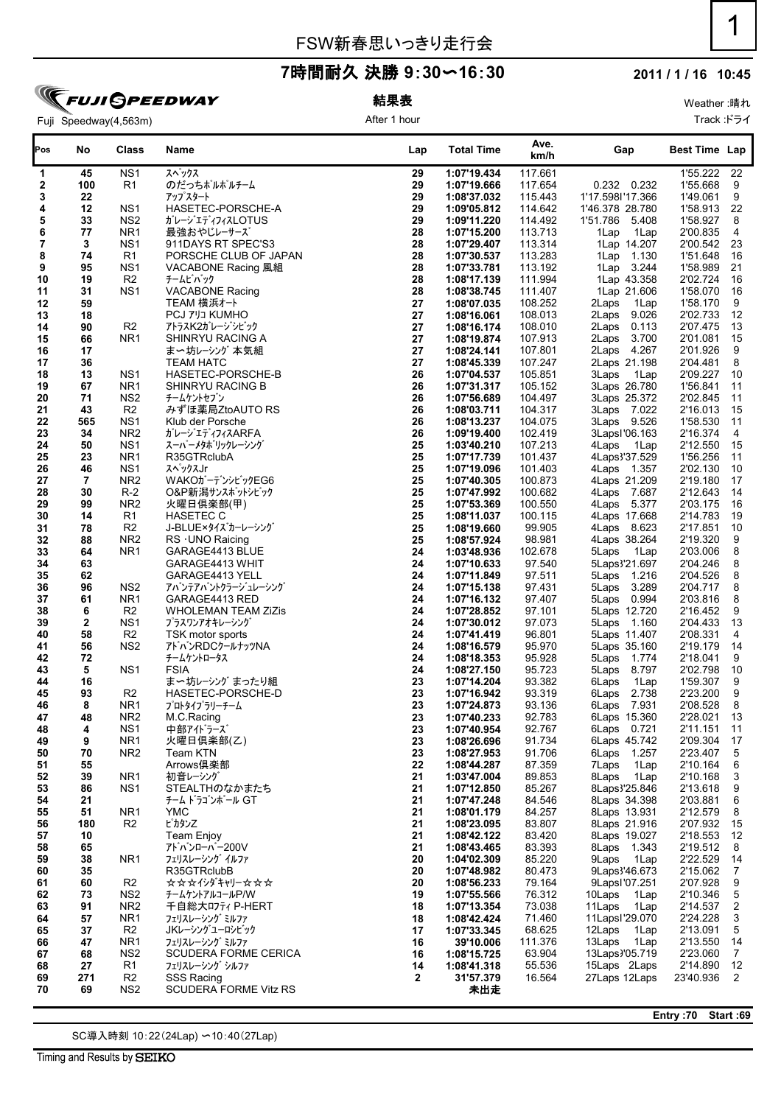#### **2011 / 1 / 16 10:45**

# **FUJI SPEEDWAY** Fuji Speedway(4,563m)

### 結果表 After 1 hour

Weather :晴れ Track :ドライ

| Pos                     | No           | <b>Class</b>                       | Name                                          | Lap          | <b>Total Time</b>          | Ave.<br>km/h       | Gap                              | <b>Best Time Lap</b> |                      |
|-------------------------|--------------|------------------------------------|-----------------------------------------------|--------------|----------------------------|--------------------|----------------------------------|----------------------|----------------------|
| 1                       | 45           | NS <sub>1</sub>                    | スペックス                                         | 29           | 1:07'19.434                | 117.661            |                                  | 1'55.222             | 22                   |
| 2                       | 100          | R1                                 | のだっちポルポルチーム                                   | 29           | 1:07'19.666                | 117.654            | 0.232 0.232                      | 1'55.668             | 9                    |
| 3                       | 22           |                                    | アップスタート                                       | 29           | 1:08'37.032                | 115.443            | 1'17.5981'17.366                 | 1'49.061             | 9                    |
| 4                       | 12           | NS <sub>1</sub><br>NS <sub>2</sub> | HASETEC-PORSCHE-A                             | 29           | 1:09'05.812                | 114.642<br>114.492 | 1'46.378 28.780                  | 1'58.913             | 22<br>$\bf 8$        |
| 5<br>6                  | 33<br>77     | NR <sub>1</sub>                    | ガレージエディフィスLOTUS<br>最強おやじレーサーズ                 | 29<br>28     | 1:09'11.220<br>1:07'15.200 | 113.713            | 1'51.786 5.408<br>1Lap<br>1Lap   | 1'58.927<br>2'00.835 | 4                    |
| $\overline{\mathbf{7}}$ | 3            | NS <sub>1</sub>                    | 911DAYS RT SPEC'S3                            | 28           | 1:07'29.407                | 113.314            | 1Lap 14.207                      | 2'00.542             | 23                   |
| 8                       | 74           | R1                                 | PORSCHE CLUB OF JAPAN                         | 28           | 1:07'30.537                | 113.283            | 1Lap 1.130                       | 1'51.648             | 16                   |
| 9                       | 95           | NS <sub>1</sub>                    | VACABONE Racing 風組                            | 28           | 1:07'33.781                | 113.192            | 1Lap 3.244                       | 1'58.989             | 21                   |
| 10                      | 19           | R <sub>2</sub>                     | チームビバック                                       | 28           | 1:08'17.139                | 111.994            | 1Lap 43.358                      | 2'02.724             | 16                   |
| 11                      | 31           | NS <sub>1</sub>                    | <b>VACABONE Racing</b>                        | 28           | 1:08'38.745                | 111.407            | 1Lap 21.606                      | 1'58.070             | 16                   |
| 12                      | 59           |                                    | TEAM 横浜オート                                    | 27           | 1:08'07.035                | 108.252            | 2Laps<br>1Lap                    | 1'58.170             | 9                    |
| 13                      | 18           |                                    | <b>PCJ 711 KUMHO</b>                          | 27           | 1:08'16.061                | 108.013            | 2Laps<br>9.026                   | 2'02.733             | 12                   |
| 14                      | 90           | R <sub>2</sub>                     | アトラスK2ガレージシビック                                | 27           | 1:08'16.174                | 108.010            | 2Laps 0.113                      | 2'07.475             | 13                   |
| 15                      | 66<br>17     | NR <sub>1</sub>                    | SHINRYU RACING A<br>ま〜坊レーシング 本気組              | 27<br>27     | 1:08'19.874<br>1:08'24.141 | 107.913<br>107.801 | 2Laps 3.700<br>2Laps 4.267       | 2'01.081<br>2'01.926 | 15<br>$9\,$          |
| 16<br>17                | 36           |                                    | <b>TEAM HATC</b>                              | 27           | 1:08'45.339                | 107.247            | 2Laps 21.198                     | 2'04.481             | 8                    |
| 18                      | 13           | NS <sub>1</sub>                    | HASETEC-PORSCHE-B                             | 26           | 1:07'04.537                | 105.851            | 3Laps<br>1Lap                    | 2'09.227             | 10                   |
| 19                      | 67           | NR <sub>1</sub>                    | SHINRYU RACING B                              | 26           | 1:07'31.317                | 105.152            | 3Laps 26.780                     | 1'56.841             | 11                   |
| 20                      | 71           | NS <sub>2</sub>                    | チームケントセブン                                     | 26           | 1:07'56.689                | 104.497            | 3Laps 25.372                     | 2'02.845             | 11                   |
| 21                      | 43           | R <sub>2</sub>                     | みずほ薬局ZtoAUTO RS                               | 26           | 1:08'03.711                | 104.317            | 3Laps 7.022                      | 2'16.013             | 15                   |
| 22                      | 565          | NS <sub>1</sub>                    | Klub der Porsche                              | 26           | 1:08'13.237                | 104.075            | 3Laps 9.526                      | 1'58.530             | 11                   |
| 23                      | 34           | NR <sub>2</sub>                    | ガレージエディフィスARFA                                | 26           | 1:09'19.400                | 102.419            | 3LapsI'06.163                    | 2'16.374             | $\overline{4}$       |
| 24                      | 50           | NS <sub>1</sub>                    | スーパーメタボリックレーシング                               | 25           | 1:03'40.210                | 107.213            | 4Laps<br>1Lap                    | 2'12.550             | 15                   |
| 25                      | 23           | NR <sub>1</sub>                    | R35GTRclubA                                   | 25           | 1:07'17.739                | 101.437            | 4Laps3'37.529                    | 1'56.256             | 11                   |
| 26<br>27                | 46<br>7      | NS <sub>1</sub><br>NR <sub>2</sub> | スペックスJr<br>WAKOガーデンシビックEG6                    | 25<br>25     | 1:07'19.096<br>1:07'40.305 | 101.403<br>100.873 | 4Laps 1.357                      | 2'02.130<br>2'19.180 | 10<br>17             |
| 28                      | 30           | $R-2$                              | O&P新潟サンスポットシビック                               | 25           | 1:07'47.992                | 100.682            | 4Laps 21.209<br>4Laps 7.687      | 2'12.643             | 14                   |
| 29                      | 99           | NR <sub>2</sub>                    | 火曜日倶楽部(甲)                                     | 25           | 1:07'53.369                | 100.550            | 4Laps 5.377                      | 2'03.175             | 16                   |
| 30                      | 14           | R1                                 | <b>HASETEC C</b>                              | 25           | 1:08'11.037                | 100.115            | 4Laps 17.668                     | 2'14.783             | 19                   |
| 31                      | 78           | R <sub>2</sub>                     | J-BLUE×タイズカーレーシング                             | 25           | 1:08'19.660                | 99.905             | 4Laps 8.623                      | 2'17.851             | 10                   |
| 32                      | 88           | NR <sub>2</sub>                    | RS · UNO Raicing                              | 25           | 1:08'57.924                | 98.981             | 4Laps 38.264                     | 2'19.320             | $9\,$                |
| 33                      | 64           | NR <sub>1</sub>                    | GARAGE4413 BLUE                               | 24           | 1:03'48.936                | 102.678            | 5Laps<br>1Lap                    | 2'03.006             | 8                    |
| 34                      | 63           |                                    | GARAGE4413 WHIT                               | 24           | 1:07'10.633                | 97.540             | 5Laps3'21.697                    | 2'04.246             | 8                    |
| 35                      | 62           |                                    | GARAGE4413 YELL                               | 24           | 1:07'11.849                | 97.511             | 5Laps 1.216                      | 2'04.526             | 8                    |
| 36<br>37                | 96<br>61     | NS <sub>2</sub><br>NR <sub>1</sub> | アバンテアバントクラージュレーシング<br>GARAGE4413 RED          | 24<br>24     | 1:07'15.138<br>1:07'16.132 | 97.431<br>97.407   | 5Laps 3.289<br>5Laps 0.994       | 2'04.717<br>2'03.816 | 8<br>8               |
| 38                      | 6            | R <sub>2</sub>                     | <b>WHOLEMAN TEAM ZiZis</b>                    | 24           | 1:07'28.852                | 97.101             | 5Laps 12.720                     | 2'16.452             | 9                    |
| 39                      | $\mathbf{2}$ | NS <sub>1</sub>                    | プラスワンアオキレーシング                                 | 24           | 1:07'30.012                | 97.073             | 5Laps 1.160                      | 2'04.433             | 13                   |
| 40                      | 58           | R <sub>2</sub>                     | TSK motor sports                              | 24           | 1:07'41.419                | 96.801             | 5Laps 11.407                     | 2'08.331             | 4                    |
| 41                      | 56           | NS <sub>2</sub>                    | アトバンRDCクールナッツNA                               | 24           | 1:08'16.579                | 95.970             | 5Laps 35.160                     | 2'19.179             | 14                   |
| 42                      | 72           |                                    | チームケントロータス                                    | 24           | 1:08'18.353                | 95.928             | 5Laps 1.774                      | 2'18.041             | 9                    |
| 43                      | 5            | NS <sub>1</sub>                    | <b>FSIA</b>                                   | 24           | 1:08'27.150                | 95.723             | 5Laps 8.797                      | 2'02.798             | 10                   |
| 44                      | 16           |                                    | ま〜坊レーシング まったり組                                | 23           | 1:07'14.204                | 93.382             | 6Laps<br>1Lap                    | 1'59.307             | 9                    |
| 45                      | 93           | R <sub>2</sub>                     | HASETEC-PORSCHE-D                             | 23           | 1:07'16.942                | 93.319             | 2.738<br>6Laps                   | 2'23.200             | 9                    |
| 46<br>47                | 8<br>48      | NR <sub>1</sub><br>NR <sub>2</sub> | プロトタイプラリーチーム                                  | 23<br>23     | 1:07'24.873<br>1:07'40.233 | 93.136<br>92.783   | 6Laps 7.931<br>6Laps 15.360      | 2'08.528<br>2'28.021 | 8<br>13              |
| 48                      | 4            | NS <sub>1</sub>                    | M.C.Racing<br>中部アイドラーズ                        | 23           | 1:07'40.954                | 92.767             | 6Laps 0.721                      | 2'11.151             | 11                   |
| 49                      | 9            | NR <sub>1</sub>                    | 火曜日倶楽部(乙)                                     | 23           | 1:08'26.696                | 91.734             | 6Laps 45.742                     | 2'09.304             | 17                   |
| 50                      | 70           | NR <sub>2</sub>                    | Team KTN                                      | 23           | 1:08'27.953                | 91.706             | 6Laps<br>1.257                   | 2'23.407             | $\overline{5}$       |
| 51                      | 55           |                                    | Arrows俱楽部                                     | 22           | 1:08'44.287                | 87.359             | 7Laps<br>1Lap                    | 2'10.164             | 6                    |
| 52                      | 39           | NR <sub>1</sub>                    | 初音レーシング                                       | 21           | 1:03'47.004                | 89.853             | 8Laps<br>1Lap                    | 2'10.168             | 3                    |
| 53                      | 86           | NS <sub>1</sub>                    | STEALTHのなかまたち                                 | 21           | 1:07'12.850                | 85.267             | 8Laps3'25.846                    | 2'13.618             | 9                    |
| 54                      | 21           |                                    | チーム ドラゴンボール GT                                | 21           | 1:07'47.248                | 84.546             | 8Laps 34.398                     | 2'03.881             | 6                    |
| 55                      | 51           | NR <sub>1</sub><br>R <sub>2</sub>  | <b>YMC</b>                                    | 21           | 1:08'01.179                | 84.257             | 8Laps 13.931                     | 2'12.579             | 8                    |
| 56<br>57                | 180<br>10    |                                    | ピカタン乙<br><b>Team Enjoy</b>                    | 21<br>21     | 1:08'23.095<br>1:08'42.122 | 83.807<br>83.420   | 8Laps 21.916<br>8Laps 19.027     | 2'07.932<br>2'18.553 | 15<br>12             |
| 58                      | 65           |                                    | アトバンローバー200V                                  | 21           | 1:08'43.465                | 83.393             | 8Laps<br>1.343                   | 2'19.512             | 8                    |
| 59                      | 38           | NR <sub>1</sub>                    | フェリスレーシング イルファ                                | 20           | 1:04'02.309                | 85.220             | 9Laps<br>1Lap                    | 2'22.529             | -14                  |
| 60                      | 35           |                                    | R35GTRclubB                                   | 20           | 1:07'48.982                | 80.473             | 9Laps3'46.673                    | 2'15.062             | $\overline{7}$       |
| 61                      | 60           | R <sub>2</sub>                     | <b>☆☆☆イシダキャリー☆☆☆</b>                          | 20           | 1:08'56.233                | 79.164             | 9Lapsl'07.251                    | 2'07.928             | 9                    |
| 62                      | 73           | NS <sub>2</sub>                    | チームケントアルコールP/W                                | 19           | 1:07'55.566                | 76.312             | 10Laps<br>1Lap                   | 2'10.346             | $\overline{5}$       |
| 63                      | 91           | NR <sub>2</sub>                    | 千自総大ロフティ P-HERT                               | 18           | 1:07'13.354                | 73.038             | 11Laps<br>1Lap                   | 2'14.537             | $\sqrt{2}$           |
| 64                      | 57           | NR <sub>1</sub>                    | フェリスレーシング ミルファ                                | 18           | 1:08'42.424                | 71.460             | 11Lapsl'29.070                   | 2'24.228             | 3                    |
| 65                      | 37           | R <sub>2</sub>                     | JKレーシングユーロシビック                                | 17           | 1:07'33.345                | 68.625             | 12Laps<br>1Lap                   | 2'13.091             | $\overline{5}$       |
| 66                      | 47           | NR <sub>1</sub><br>NS <sub>2</sub> | フェリスレーシング ミルファ<br><b>SCUDERA FORME CERICA</b> | 16           | 39'10.006                  | 111.376<br>63.904  | 13Laps<br>1Lap<br>13Laps '05.719 | 2'13.550<br>2'23.060 | 14<br>$\overline{7}$ |
| 67<br>68                | 68<br>27     | R <sub>1</sub>                     | フェリスレーシング シルファ                                | 16<br>14     | 1:08'15.725<br>1:08'41.318 | 55.536             | 15Laps 2Laps                     | 2'14.890             | 12                   |
| 69                      | 271          | R <sub>2</sub>                     | <b>SSS Racing</b>                             | $\mathbf{2}$ | 31'57.379                  | 16.564             | 27Laps 12Laps                    | 23'40.936            | $\overline{2}$       |
| 70                      | 69           | NS <sub>2</sub>                    | <b>SCUDERA FORME Vitz RS</b>                  |              | 未出走                        |                    |                                  |                      |                      |

SC導入時刻 10:22(24Lap) 〜10:40(27Lap)

Timing and Results by SEIKO

**Entry :70 Start :69**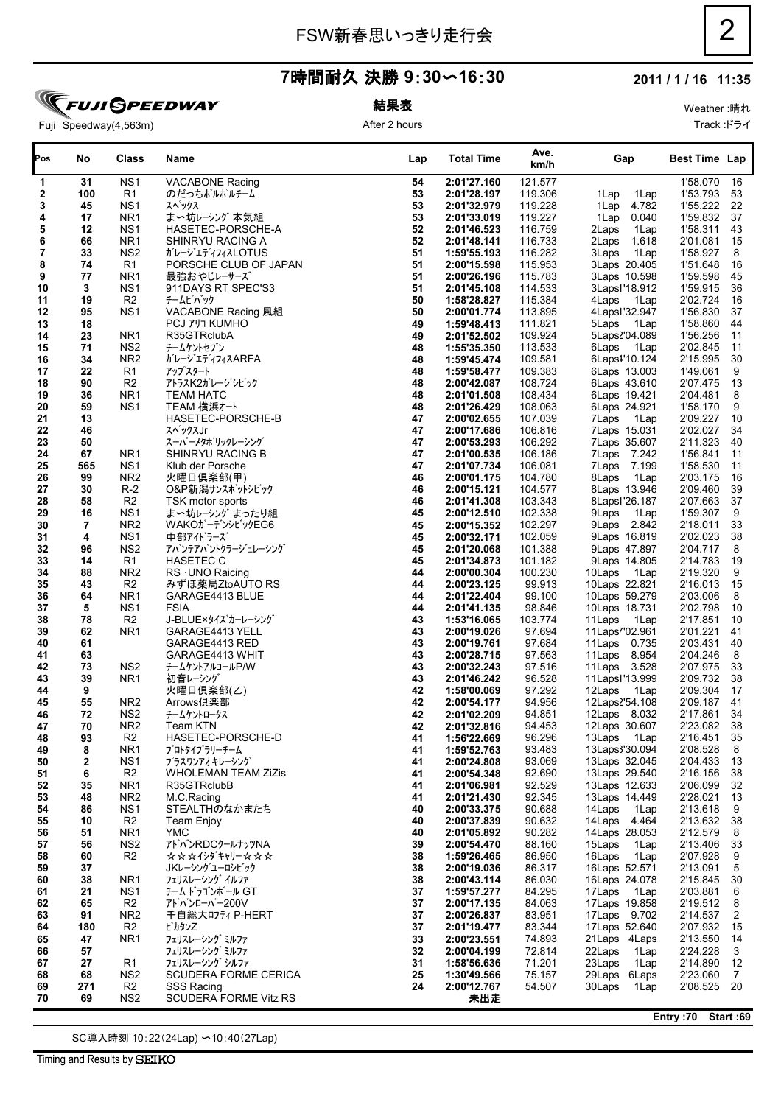### **2011 / 1 / 16 11:35**

**FUJI GPEEDWAY** Fuji Speedway(4,563m)

### 結果表 After 2 hours

Weather :晴れ Track :ドライ

| Pos          | No       | Class                              | Name                                | Lap      | <b>Total Time</b>          | Ave.<br>km/h       | Gap                           | <b>Best Time Lap</b> |                 |
|--------------|----------|------------------------------------|-------------------------------------|----------|----------------------------|--------------------|-------------------------------|----------------------|-----------------|
| 1            | 31       | NS <sub>1</sub>                    | <b>VACABONE Racing</b>              | 54       | 2:01'27.160                | 121.577            |                               | 1'58.070             | 16              |
| $\mathbf{2}$ | 100      | R1                                 | のだっちポルポルチーム                         | 53       | 2:01'28.197                | 119.306            | 1Lap<br>1Lap                  | 1'53.793             | 53              |
| 3            | 45       | NS <sub>1</sub>                    | スペックス                               | 53       | 2:01'32.979                | 119.228            | 1Lap<br>4.782                 | 1'55.222             | 22              |
| 4            | 17       | NR <sub>1</sub>                    | ま〜坊レーシング 本気組                        | 53       | 2:01'33.019                | 119.227            | 1Lap<br>0.040                 | 1'59.832             | 37              |
| 5            | 12       | NS <sub>1</sub>                    | HASETEC-PORSCHE-A                   | 52       | 2:01'46.523                | 116.759            | 2Laps<br>1Lap                 | 1'58.311             | 43              |
| 6            | 66       | NR <sub>1</sub><br>NS <sub>2</sub> | SHINRYU RACING A                    | 52       | 2:01'48.141                | 116.733            | 2Laps<br>1.618                | 2'01.081             | 15              |
| 7<br>8       | 33<br>74 | R1                                 | ガレージェディフィスLOTUS                     | 51<br>51 | 1:59'55.193                | 116.282<br>115.953 | 1Lap<br>3Laps                 | 1'58.927<br>1'51.648 | 8<br>16         |
| 9            | 77       | NR <sub>1</sub>                    | PORSCHE CLUB OF JAPAN<br>最強おやじレーサーズ | 51       | 2:00'15.598<br>2:00'26.196 | 115.783            | 3Laps 20.405<br>3Laps 10.598  | 1'59.598             | 45              |
| 10           | 3        | NS <sub>1</sub>                    | 911DAYS RT SPEC'S3                  | 51       | 2:01'45.108                | 114.533            | 3Lapsl'18.912                 | 1'59.915             | 36              |
| 11           | 19       | R <sub>2</sub>                     | チームビバック                             | 50       | 1:58'28.827                | 115.384            | 4Laps<br>1Lap                 | 2'02.724             | 16              |
| 12           | 95       | NS <sub>1</sub>                    | VACABONE Racing 風組                  | 50       | 2:00'01.774                | 113.895            | 4Lapsl'32.947                 | 1'56.830             | 37              |
| 13           | 18       |                                    | <b>PCJ 7 JJ KUMHO</b>               | 49       | 1:59'48.413                | 111.821            | 5Laps<br>1Lap                 | 1'58.860             | 44              |
| 14           | 23       | NR <sub>1</sub>                    | R35GTRclubA                         | 49       | 2:01'52.502                | 109.924            | 5Laps'04.089                  | 1'56.256             | 11              |
| 15           | 71       | NS <sub>2</sub>                    | チームケントセブン                           | 48       | 1:55'35.350                | 113.533            | 6Laps<br>1Lap                 | 2'02.845             | 11              |
| 16           | 34       | NR <sub>2</sub>                    | ガレージエディフィスARFA                      | 48       | 1:59'45.474                | 109.581            | 6Laps1'10.124                 | 2'15.995             | 30              |
| 17           | 22       | R1                                 | アップスタート                             | 48       | 1:59'58.477                | 109.383            | 6Laps 13.003                  | 1'49.061             | 9               |
| 18           | 90       | R <sub>2</sub>                     | アトラスK2ガレージシビック                      | 48       | 2:00'42.087                | 108.724            | 6Laps 43.610                  | 2'07.475             | 13              |
| 19           | 36       | NR <sub>1</sub>                    | <b>TEAM HATC</b>                    | 48       | 2:01'01.508                | 108.434            | 6Laps 19.421                  | 2'04.481             | 8               |
| 20           | 59       | NS <sub>1</sub>                    | TEAM 横浜オート                          | 48       | 2:01'26.429                | 108.063            | 6Laps 24.921                  | 1'58.170             | 9               |
| 21           | 13       |                                    | HASETEC-PORSCHE-B                   | 47       | 2:00'02.655                | 107.039            | 7Laps<br>1Lap                 | 2'09.227             | 10              |
| 22           | 46       |                                    | スペックスJr                             | 47       | 2:00'17.686                | 106.816            | 7Laps 15.031                  | 2'02.027             | 34              |
| 23           | 50       |                                    | スーパーメタホリックレーシング                     | 47       | 2:00'53.293                | 106.292            | 7Laps 35.607                  | 2'11.323             | 40              |
| 24           | 67       | NR <sub>1</sub>                    | <b>SHINRYU RACING B</b>             | 47       | 2:01'00.535                | 106.186            | 7Laps 7.242                   | 1'56.841             | 11              |
| 25           | 565      | NS <sub>1</sub>                    | Klub der Porsche                    | 47       | 2:01'07.734                | 106.081            | 7Laps 7.199                   | 1'58.530             | 11              |
| 26           | 99       | NR <sub>2</sub>                    | 火曜日倶楽部(甲)                           | 46       | 2:00'01.175                | 104.780            | 8Laps<br>1Lap                 | 2'03.175             | 16              |
| 27           | 30       | $R-2$                              | O&P新潟サンスポットシビック                     | 46       | 2:00'15.121                | 104.577            | 8Laps 13.946                  | 2'09.460             | 39              |
| 28<br>29     | 58<br>16 | R <sub>2</sub><br>NS <sub>1</sub>  | TSK motor sports<br>ま〜坊レーシング まったり組  | 46<br>45 | 2:01'41.308<br>2:00'12.510 | 103.343<br>102.338 | 8Lapsl'26.187<br>9Laps        | 2'07.663<br>1'59.307 | 37<br>9         |
| 30           | 7        | NR <sub>2</sub>                    | WAKOガーデンシビックEG6                     | 45       | 2:00'15.352                | 102.297            | 1Lap<br>9Laps 2.842           | 2'18.011             | 33              |
| 31           | 4        | NS <sub>1</sub>                    | 中部アイドラーズ                            | 45       | 2:00'32.171                | 102.059            | 9Laps 16.819                  | 2'02.023             | 38              |
| 32           | 96       | NS <sub>2</sub>                    | アバンテアバントクラージュレーシング                  | 45       | 2:01'20.068                | 101.388            | 9Laps 47.897                  | 2'04.717             | 8               |
| 33           | 14       | R1                                 | <b>HASETEC C</b>                    | 45       | 2:01'34.873                | 101.182            | 9Laps 14.805                  | 2'14.783             | 19              |
| 34           | 88       | NR <sub>2</sub>                    | RS · UNO Raicing                    | 44       | 2:00'00.304                | 100.230            | 10Laps<br>1Lap                | 2'19.320             | 9               |
| 35           | 43       | R <sub>2</sub>                     | みずほ薬局ZtoAUTO RS                     | 44       | 2:00'23.125                | 99.913             | 10Laps 22.821                 | 2'16.013             | 15              |
| 36           | 64       | NR <sub>1</sub>                    | GARAGE4413 BLUE                     | 44       | 2:01'22.404                | 99.100             | 10Laps 59.279                 | 2'03.006             | 8               |
| 37           | 5        | NS <sub>1</sub>                    | <b>FSIA</b>                         | 44       | 2:01'41.135                | 98.846             | 10Laps 18.731                 | 2'02.798             | 10              |
| 38           | 78       | R <sub>2</sub>                     | J-BLUE×タイズカーレーシング                   | 43       | 1:53'16.065                | 103.774            | 11Laps<br>1Lap                | 2'17.851             | 10              |
| 39           | 62       | NR <sub>1</sub>                    | GARAGE4413 YELL                     | 43       | 2:00'19.026                | 97.694             | 11Laps"02.961                 | 2'01.221             | 41              |
| 40           | 61       |                                    | GARAGE4413 RED                      | 43       | 2:00'19.761                | 97.684             | 11Laps 0.735                  | 2'03.431             | 40              |
| 41           | 63       |                                    | GARAGE4413 WHIT                     | 43       | 2:00'28.715                | 97.563             | 11Laps 8.954                  | 2'04.246             | 8               |
| 42           | 73       | NS <sub>2</sub>                    | チームケントアルコールP/W                      | 43       | 2:00'32.243                | 97.516             | 11Laps 3.528                  | 2'07.975             | 33              |
| 43           | 39       | NR <sub>1</sub>                    | 初音レーシング                             | 43       | 2:01'46.242                | 96.528             | 11Lapsl'13.999                | 2'09.732             | 38              |
| 44           | 9        |                                    | 火曜日倶楽部(乙)<br>Arrows俱楽部              | 42       | 1:58'00.069                | 97.292             | 12Laps<br>1Lap                | 2'09.304             | 17              |
| 45<br>46     | 55<br>72 | NR <sub>2</sub><br>NS <sub>2</sub> | チームケントロータス                          | 42<br>42 | 2:00'54.177<br>2:01'02.209 | 94.956<br>94.851   | 12Laps'54.108<br>12Laps 8.032 | 2'09.187<br>2'17.861 | 41<br>34        |
| 47           | 70       | NR <sub>2</sub>                    | Team KTN                            | 42       | 2:01'32.816                | 94.453             | 12Laps 30.607                 | 2'23.082             | 38              |
| 48           | 93       | R <sub>2</sub>                     | HASETEC-PORSCHE-D                   | 41       | 1:56'22.669                | 96.296             | 13Laps<br>1Lap                | 2'16.451             | 35              |
| 49           | 8        | NR <sub>1</sub>                    | プロトタイプラリーチーム                        | 41       | 1:59'52.763                | 93.483             | 13Laps3'30.094                | 2'08.528             | 8               |
| 50           | 2        | NS <sub>1</sub>                    | プラスワンアオキレーシング                       | 41       | 2:00'24.808                | 93.069             | 13Laps 32.045                 | 2'04.433             | 13              |
| 51           | 6        | R <sub>2</sub>                     | <b>WHOLEMAN TEAM ZiZis</b>          | 41       | 2:00'54.348                | 92.690             | 13Laps 29.540                 | 2'16.156             | 38              |
| 52           | 35       | NR <sub>1</sub>                    | R35GTRclubB                         | 41       | 2:01'06.981                | 92.529             | 13Laps 12.633                 | 2'06.099             | 32              |
| 53           | 48       | NR <sub>2</sub>                    | M.C.Racing                          | 41       | 2:01'21.430                | 92.345             | 13Laps 14.449                 | 2'28.021             | 13              |
| 54           | 86       | NS <sub>1</sub>                    | STEALTHのなかまたち                       | 40       | 2:00'33.375                | 90.688             | 14Laps<br>1Lap                | 2'13.618             | 9               |
| 55           | 10       | R <sub>2</sub>                     | Team Enjoy                          | 40       | 2:00'37.839                | 90.632             | 14Laps 4.464                  | 2'13.632             | 38              |
| 56           | 51       | NR <sub>1</sub>                    | <b>YMC</b>                          | 40       | 2:01'05.892                | 90.282             | 14Laps 28.053                 | 2'12.579             | 8               |
| 57           | 56       | NS <sub>2</sub>                    | アトバンRDCクールナッツNA                     | 39       | 2:00'54.470                | 88.160             | 15Laps<br>1Lap                | 2'13.406             | 33              |
| 58           | 60       | R <sub>2</sub>                     | ☆☆☆イシダキャリー☆☆☆                       | 38       | 1:59'26.465                | 86.950             | 16Laps<br>1Lap                | 2'07.928             | 9               |
| 59           | 37       |                                    | JKレーシングユーロシビック                      | 38       | 2:00'19.036                | 86.317             | 16Laps 52.571                 | 2'13.091             | 5               |
| 60           | 38       | NR <sub>1</sub>                    | フェリスレーシング イルファ                      | 38       | 2:00'43.114                | 86.030             | 16Laps 24.078                 | 2'15.845             | 30              |
| 61           | 21       | NS <sub>1</sub>                    | チーム ドラゴンボール GT                      | 37       | 1:59'57.277                | 84.295             | 17Laps<br>1Lap                | 2'03.881             | 6               |
| 62<br>63     | 65<br>91 | R <sub>2</sub><br>NR <sub>2</sub>  | アドバンローバー200V<br>千自総大ロフティ P-HERT     | 37<br>37 | 2:00'17.135<br>2:00'26.837 | 84.063<br>83.951   | 17Laps 19.858<br>17Laps 9.702 | 2'19.512<br>2'14.537 | 8<br>$\sqrt{2}$ |
| 64           | 180      | R <sub>2</sub>                     | ピカタンZ                               | 37       | 2:01'19.477                | 83.344             | 17Laps 52.640                 | 2'07.932             | 15              |
| 65           | 47       | NR <sub>1</sub>                    | フェリスレーシング ミルファ                      | 33       | 2:00'23.551                | 74.893             | 21Laps 4Laps                  | 2'13.550             | 14              |
| 66           | 57       |                                    | フェリスレーシング ミルファ                      | 32       | 2:00'04.199                | 72.814             | 22Laps<br>1Lap                | 2'24.228             | 3               |
| 67           | 27       | R <sub>1</sub>                     | フェリスレーシング シルファ                      | 31       | 1:58'56.636                | 71.201             | 23Laps<br>1Lap                | 2'14.890             | 12              |
| 68           | 68       | NS <sub>2</sub>                    | <b>SCUDERA FORME CERICA</b>         | 25       | 1:30'49.566                | 75.157             | 29Laps 6Laps                  | 2'23.060             | $\overline{7}$  |
| 69           | 271      | R <sub>2</sub>                     | <b>SSS Racing</b>                   | 24       | 2:00'12.767                | 54.507             | 30Laps<br>1Lap                | 2'08.525             | 20              |
| 70           | 69       | NS <sub>2</sub>                    | SCUDERA FORME Vitz RS               |          | 未出走                        |                    |                               |                      |                 |

SC導入時刻 10:22(24Lap) 〜10:40(27Lap)

Timing and Results by SEIKO

**Entry :70 Start :69**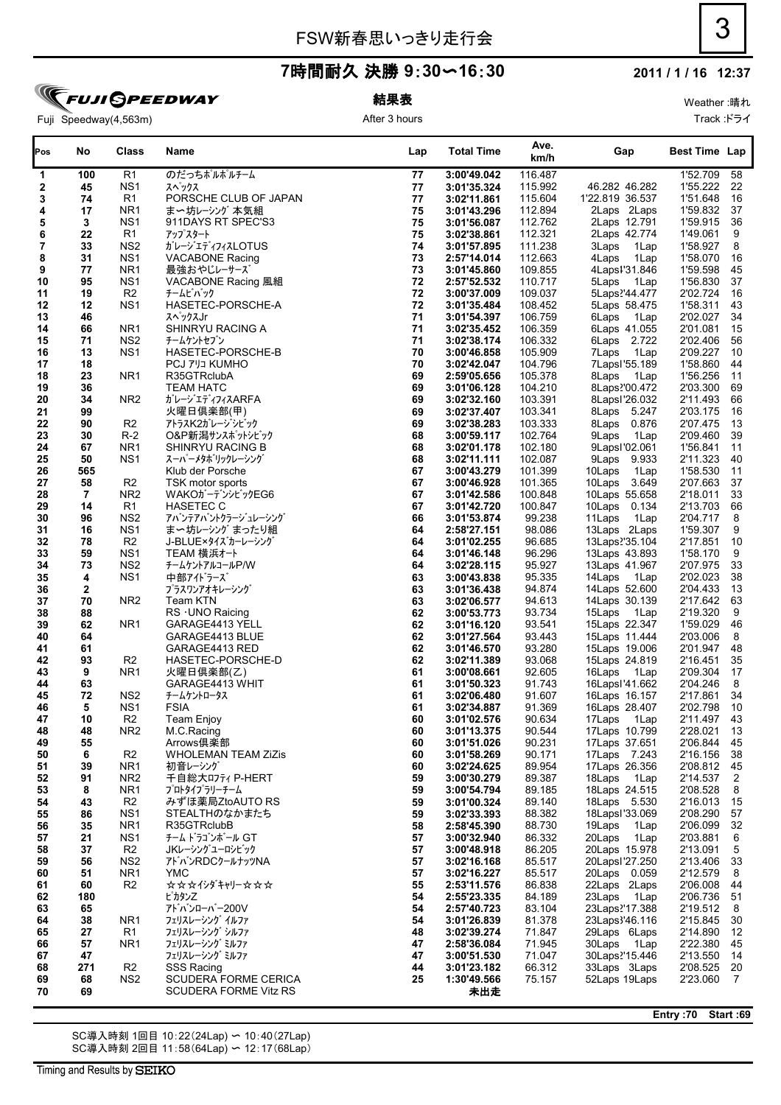#### **2011 / 1 / 16 12:37**

**TEUJI GPEEDWAY** Fuji Speedway(4,563m)

# 結果表

After 3 hours

| Pos      | No                 | Class                             | Name                             | Lap      | <b>Total Time</b>          | Ave.<br>km/h       | Gap                            | <b>Best Time Lap</b> |                |
|----------|--------------------|-----------------------------------|----------------------------------|----------|----------------------------|--------------------|--------------------------------|----------------------|----------------|
| 1        | 100                | R1                                | のだっちポルポルチーム                      | 77       | 3:00'49.042                | 116.487            |                                | 1'52.709             | 58             |
| 2        | 45                 | NS <sub>1</sub>                   | スペックス                            | 77       | 3:01'35.324                | 115.992            | 46.282 46.282                  | 1'55.222             | 22             |
| 3        | 74                 | R1                                | PORSCHE CLUB OF JAPAN            | 77       | 3:02'11.861                | 115.604            | 1'22.819 36.537                | 1'51.648             | 16             |
| 4        | 17                 | NR <sub>1</sub>                   | ま〜坊レーシング 本気組                     | 75       | 3:01'43.296                | 112.894            | 2Laps 2Laps                    | 1'59.832             | 37             |
| 5        | 3                  | NS <sub>1</sub>                   | 911DAYS RT SPEC'S3               | 75       | 3:01'56.087                | 112.762            | 2Laps 12.791                   | 1'59.915             | 36             |
| 6        | 22                 | R1                                | アップスタート                          | 75       | 3:02'38.861                | 112.321            | 2Laps 42.774                   | 1'49.061             | 9              |
| 7        | 33                 | NS <sub>2</sub>                   | ガレージエディフィスLOTUS                  | 74       | 3:01'57.895                | 111.238            | 3Laps<br>1Lap                  | 1'58.927             | 8              |
| 8        | 31                 | NS <sub>1</sub>                   | <b>VACABONE Racing</b>           | 73       | 2:57'14.014                | 112.663            | 4Laps<br>1Lap                  | 1'58.070             | 16             |
| 9        | 77                 | NR <sub>1</sub>                   | 最強おやじレーサーズ                       | 73       | 3:01'45.860                | 109.855            | 4Laps1'31.846                  | 1'59.598             | 45             |
| 10       | 95                 | NS <sub>1</sub>                   | VACABONE Racing 風組               | 72       | 2:57'52.532                | 110.717            | 5Laps<br>1Lap                  | 1'56.830             | 37             |
| 11       | 19                 | R <sub>2</sub>                    | チームビバック                          | 72       | 3:00'37.009<br>3:01'35.484 | 109.037            | 5Laps <sup>2</sup> '44.477     | 2'02.724             | 16             |
| 12<br>13 | 12<br>46           | NS <sub>1</sub>                   | HASETEC-PORSCHE-A<br>スペックスJr     | 72<br>71 | 3:01'54.397                | 108.452<br>106.759 | 5Laps 58.475<br>6Laps          | 1'58.311<br>2'02.027 | 43<br>34       |
| 14       | 66                 | NR <sub>1</sub>                   | SHINRYU RACING A                 | 71       | 3:02'35.452                | 106.359            | 1Lap<br>6Laps 41.055           | 2'01.081             | 15             |
| 15       | 71                 | NS <sub>2</sub>                   | チームケントセブン                        | 71       | 3:02'38.174                | 106.332            | 6Laps 2.722                    | 2'02.406             | 56             |
| 16       | 13                 | NS <sub>1</sub>                   | HASETEC-PORSCHE-B                | 70       | 3:00'46.858                | 105.909            | 1Lap<br>7Laps                  | 2'09.227             | 10             |
| 17       | 18                 |                                   | <b>PCJ 7'JJ KUMHO</b>            | 70       | 3:02'42.047                | 104.796            | 7Lapsl'55.189                  | 1'58.860             | 44             |
| 18       | 23                 | NR <sub>1</sub>                   | R35GTRclubA                      | 69       | 2:59'05.656                | 105.378            | 8Laps<br>1Lap                  | 1'56.256             | 11             |
| 19       | 36                 |                                   | <b>TEAM HATC</b>                 | 69       | 3:01'06.128                | 104.210            | 8Laps'00.472                   | 2'03.300             | 69             |
| 20       | 34                 | NR <sub>2</sub>                   | ガレージエディフィスARFA                   | 69       | 3:02'32.160                | 103.391            | 8Lapsl'26.032                  | 2'11.493             | 66             |
| 21       | 99                 |                                   | 火曜日倶楽部(甲)                        | 69       | 3:02'37.407                | 103.341            | 8Laps 5.247                    | 2'03.175             | 16             |
| 22       | 90                 | R <sub>2</sub>                    | アトラスK2ガレージシビック                   | 69       | 3:02'38.283                | 103.333            | 8Laps 0.876                    | 2'07.475             | 13             |
| 23       | 30                 | $R-2$                             | O&P新潟サンスポットシビック                  | 68       | 3:00'59.117                | 102.764            | 9Laps<br>1Lap                  | 2'09.460             | 39             |
| 24       | 67                 | NR <sub>1</sub>                   | SHINRYU RACING B                 | 68       | 3:02'01.178                | 102.180            | 9LapsI'02.061                  | 1'56.841             | 11             |
| 25       | 50                 | NS <sub>1</sub>                   | スーパーメタホリックレーシング                  | 68       | 3:02'11.111                | 102.087            | 9Laps 9.933                    | 2'11.323             | 40             |
| 26       | 565                |                                   | Klub der Porsche                 | 67       | 3:00'43.279                | 101.399            | 10Laps<br>1Lap                 | 1'58.530             | 11             |
| 27       | 58                 | R <sub>2</sub>                    | TSK motor sports                 | 67       | 3:00'46.928                | 101.365            | 10Laps 3.649                   | 2'07.663             | 37             |
| 28       | $\overline{7}$     | NR <sub>2</sub>                   | WAKOガーデンシビックEG6                  | 67       | 3:01'42.586                | 100.848            | 10Laps 55.658                  | 2'18.011             | 33             |
| 29       | 14                 | R1                                | <b>HASETEC C</b>                 | 67       | 3:01'42.720                | 100.847            | 10Laps 0.134                   | 2'13.703             | 66             |
| 30       | 96                 | NS <sub>2</sub>                   | アバンテアバントクラージュレーシング               | 66       | 3:01'53.874                | 99.238             | 11Laps<br>1Lap                 | 2'04.717             | 8              |
| 31       | 16                 | NS <sub>1</sub>                   | ま〜坊レーシング まったり組                   | 64       | 2:58'27.151                | 98.086             | 13Laps 2Laps                   | 1'59.307             | 9              |
| 32       | 78                 | R <sub>2</sub>                    | J-BLUE×タイズカーレーシング                | 64       | 3:01'02.255                | 96.685             | 13Laps'35.104                  | 2'17.851             | 10             |
| 33       | 59                 | NS <sub>1</sub>                   | TEAM 横浜オート                       | 64       | 3:01'46.148                | 96.296             | 13Laps 43.893                  | 1'58.170             | 9              |
| 34       | 73                 | NS <sub>2</sub>                   | チームケントアルコールP/W                   | 64       | 3:02'28.115                | 95.927             | 13Laps 41.967                  | 2'07.975             | 33             |
| 35       | 4                  | NS <sub>1</sub>                   | 中部アイドラーズ                         | 63       | 3:00'43.838                | 95.335             | 14Laps<br>1Lap                 | 2'02.023             | 38             |
| 36<br>37 | $\mathbf{2}$<br>70 | NR <sub>2</sub>                   | プラスワンアオキレーシング<br>Team KTN        | 63<br>63 | 3:01'36.438<br>3:02'06.577 | 94.874<br>94.613   | 14Laps 52.600<br>14Laps 30.139 | 2'04.433<br>2'17.642 | 13<br>63       |
| 38       | 88                 |                                   | RS · UNO Raicing                 | 62       | 3:00'53.773                | 93.734             | 15Laps<br>1 Lap                | 2'19.320             | 9              |
| 39       | 62                 | NR <sub>1</sub>                   | GARAGE4413 YELL                  | 62       | 3:01'16.120                | 93.541             | 15Laps 22.347                  | 1'59.029             | 46             |
| 40       | 64                 |                                   | GARAGE4413 BLUE                  | 62       | 3:01'27.564                | 93.443             | 15Laps 11.444                  | 2'03.006             | 8              |
| 41       | 61                 |                                   | GARAGE4413 RED                   | 62       | 3:01'46.570                | 93.280             | 15Laps 19.006                  | 2'01.947             | 48             |
| 42       | 93                 | R <sub>2</sub>                    | HASETEC-PORSCHE-D                | 62       | 3:02'11.389                | 93.068             | 15Laps 24.819                  | 2'16.451             | 35             |
| 43       | 9                  | NR <sub>1</sub>                   | 火曜日倶楽部(乙)                        | 61       | 3:00'08.661                | 92.605             | 16Laps<br>1Lap                 | 2'09.304             | 17             |
| 44       | 63                 |                                   | GARAGE4413 WHIT                  | 61       | 3:01'50.323                | 91.743             | 16LapsI'41.662                 | 2'04.246             | 8              |
| 45       | 72                 | NS <sub>2</sub>                   | チームケントロータス                       | 61       | 3:02'06.480                | 91.607             | 16Laps 16.157                  | 2'17.861             | 34             |
| 46       | 5                  | NS <sub>1</sub>                   | <b>FSIA</b>                      | 61       | 3:02'34.887                | 91.369             | 16Laps 28.407                  | 2'02.798             | 10             |
| 47       | 10                 | R <sub>2</sub>                    | <b>Team Enjoy</b>                | 60       | 3:01'02.576                | 90.634             | 17Laps 1Lap                    | 2'11.497 43          |                |
| 48       | 48                 | NR <sub>2</sub>                   | M.C.Racing                       | 60       | 3:01'13.375                | 90.544             | 17Laps 10.799                  | 2'28.021 13          |                |
| 49       | 55                 |                                   | Arrows俱楽部                        | 60       | 3:01'51.026                | 90.231             | 17Laps 37.651                  | 2'06.844 45          |                |
| 50       | 6                  | R <sub>2</sub>                    | <b>WHOLEMAN TEAM ZiZis</b>       | 60       | 3:01'58.269                | 90.171             | 17Laps 7.243                   | 2'16.156             | 38             |
| 51       | 39                 | NR <sub>1</sub>                   | 初音レーシング                          | 60       | 3:02'24.625                | 89.954             | 17Laps 26.356                  | 2'08.812 45          |                |
| 52       | 91                 | NR <sub>2</sub>                   | 千自総大ロフティ P-HERT                  | 59       | 3:00'30.279                | 89.387             | 18Laps 1Lap                    | 2'14.537             | $\overline{2}$ |
| 53       | 8                  | NR <sub>1</sub>                   | プロトタイプラリーチーム                     | 59       | 3:00'54.794                | 89.185             | 18Laps 24.515                  | 2'08.528             | 8              |
| 54       | 43<br>86           | R <sub>2</sub><br>NS <sub>1</sub> | みずほ薬局ZtoAUTO RS<br>STEALTHのなかまたち | 59       | 3:01'00.324<br>3:02'33.393 | 89.140<br>88.382   | 18Laps 5.530<br>18Lapsl'33.069 | 2'16.013<br>2'08.290 | 15             |
| 55<br>56 | 35                 | NR <sub>1</sub>                   | R35GTRclubB                      | 59<br>58 | 2:58'45.390                | 88.730             | 19Laps<br>1Lap                 | 2'06.099             | 57<br>32       |
| 57       | 21                 | NS <sub>1</sub>                   | チーム トラゴンボール GT                   | 57       | 3:00'32.940                | 86.332             | 20Laps<br>1Lap                 | 2'03.881             | 6              |
| 58       | 37                 | R <sub>2</sub>                    | JKレーシング ユーロシビック                  | 57       | 3:00'48.918                | 86.205             | 20Laps 15.978                  | 2'13.091             | $\mathbf 5$    |
| 59       | 56                 | NS <sub>2</sub>                   | アトバンRDCクールナッツNA                  | 57       | 3:02'16.168                | 85.517             | 20LapsI'27.250                 | 2'13.406             | 33             |
| 60       | 51                 | NR <sub>1</sub>                   | YMC.                             | 57       | 3:02'16.227                | 85.517             | 20Laps 0.059                   | 2'12.579             | 8              |
| 61       | 60                 | R <sub>2</sub>                    | <b>☆☆☆イシダキャリー☆☆☆</b>             | 55       | 2:53'11.576                | 86.838             | 22Laps 2Laps                   | 2'06.008             | 44             |
| 62       | 180                |                                   | ピカタン乙                            | 54       | 2:55'23.335                | 84.189             | 23Laps<br>1Lap                 | 2'06.736 51          |                |
| 63       | 65                 |                                   | アドバンローバー200V                     | 54       | 2:57'40.723                | 83.104             | 23Laps?'17.388                 | 2'19.512             | -8             |
| 64       | 38                 | NR <sub>1</sub>                   | フェリスレーシング イルファ                   | 54       | 3:01'26.839                | 81.378             | 23Laps3'46.116                 | 2'15.845             | 30             |
| 65       | 27                 | R1                                | フェリスレーシング シルファ                   | 48       | 3:02'39.274                | 71.847             | 29Laps 6Laps                   | 2'14.890             | 12             |
| 66       | 57                 | NR1                               | フェリスレーシング ミルファ                   | 47       | 2:58'36.084                | 71.945             | 30Laps 1Lap                    | 2'22.380             | 45             |
| 67       | 47                 |                                   | フェリスレーシング ミルファ                   | 47       | 3:00'51.530                | 71.047             | 30Laps'15.446                  | 2'13.550             | - 14           |
| 68       | 271                | R <sub>2</sub>                    | <b>SSS Racing</b>                | 44       | 3:01'23.182                | 66.312             | 33Laps 3Laps                   | 2'08.525 20          |                |
| 69       | 68                 | NS <sub>2</sub>                   | SCUDERA FORME CERICA             | 25       | 1:30'49.566                | 75.157             | 52Laps 19Laps                  | 2'23.060             | $\overline{7}$ |
| 70       | 69                 |                                   | SCUDERA FORME Vitz RS            |          | 未出走                        |                    |                                |                      |                |

SC導入時刻 1回目 10:22(24Lap) 〜 10:40(27Lap) SC導入時刻 2回目 11:58(64Lap) 〜 12:17(68Lap) **Entry :70 Start :69**

Weather :晴れ

Track :ドライ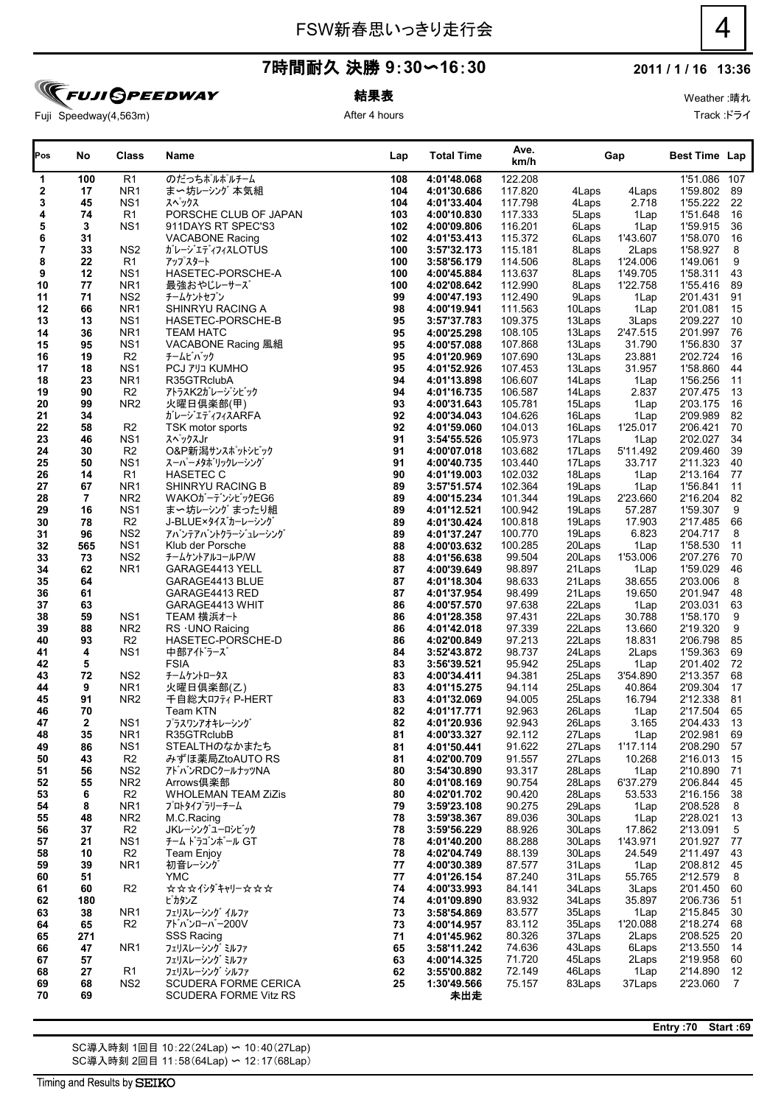### **2011 / 1 / 16 13:36**

Weather :晴れ Track :ドライ

Fuji Speedway(4,563m)

**TFUJI GPEEDWAY** 

結果表 After 4 hours

| のだっちポルポルチーム<br>R <sub>1</sub><br>4:01'48.068<br>122.208<br>1'51.086 107<br>$\mathbf{1}$<br>100<br>108<br>まー坊レーシング 本気組<br>117.820<br>1'59.802 89<br>2<br>17<br>NR <sub>1</sub><br>104<br>4:01'30.686<br>4Laps<br>4Laps<br>3<br>NS <sub>1</sub><br>1'55.222<br>45<br>スペックス<br>104<br>4:01'33.404<br>117.798<br>4Laps<br>2.718<br>4<br>74<br>1'51.648<br>R1<br>PORSCHE CLUB OF JAPAN<br>103<br>4:00'10.830<br>117.333<br>5Laps<br>1Lap<br>5<br>3<br>116.201<br>NS <sub>1</sub><br>911DAYS RT SPEC'S3<br>102<br>4:00'09.806<br>6Laps<br>1'59.915<br>1Lap<br>6<br>31<br>115.372<br>1'58.070<br>102<br>4:01'53.413<br>6Laps<br>1'43.607<br><b>VACABONE Racing</b><br>7<br>33<br>1'58.927<br>NS <sub>2</sub><br>ガレージエディフィスLOTUS<br>100<br>3:57'32.173<br>115.181<br>8Laps<br>2Laps<br>8<br>22<br>1'49.061<br>R1<br>アップスタート<br>100<br>3:58'56.179<br>114.506<br>8Laps<br>1'24.006<br>9<br>HASETEC-PORSCHE-A<br>12<br>NS <sub>1</sub><br>100<br>4:00'45.884<br>113.637<br>8Laps<br>1'49.705<br>1'58.311<br>77<br>10<br>NR <sub>1</sub><br>最強おやじレーサーズ<br>100<br>4:02'08.642<br>112.990<br>8Laps<br>1'22.758<br>1'55.416<br>71<br>11<br>NS <sub>2</sub><br>チームケントセブン<br>99<br>4:00'47.193<br>112.490<br>9Laps<br>2'01.431<br>1Lap<br>12<br>66<br>NR <sub>1</sub><br>SHINRYU RACING A<br>98<br>4:00'19.941<br>111.563<br>10Laps<br>2'01.081<br>1Lap<br>13<br>13<br>NS <sub>1</sub><br>HASETEC-PORSCHE-B<br>95<br>3:57'37.783<br>109.375<br>13Laps<br>2'09.227<br>3Laps<br>36<br>95<br>2'01.997<br>14<br>NR <sub>1</sub><br><b>TEAM HATC</b><br>4:00'25.298<br>108.105<br>13Laps<br>2'47.515<br>1'56.830<br>15<br>95<br>NS <sub>1</sub><br>VACABONE Racing 風組<br>95<br>4:00'57.088<br>107.868<br>13Laps<br>31.790<br>2'02.724<br>16<br>19<br>R <sub>2</sub><br>チームビバック<br>95<br>4:01'20.969<br>107.690<br>13Laps<br>23.881<br><b>PCJ 7'JJ KUMHO</b><br>95<br>31.957<br>1'58.860<br>17<br>18<br>NS <sub>1</sub><br>4:01'52.926<br>107.453<br>13Laps<br>14Laps<br>1'56.256<br>18<br>23<br>NR <sub>1</sub><br>R35GTRclubA<br>94<br>4:01'13.898<br>106.607<br>1Lap<br>2.837<br>19<br>90<br>R <sub>2</sub><br>アトラスK2ガレージシビック<br>94<br>106.587<br>14Laps<br>2'07.475<br>4:01'16.735<br>20<br>99<br>NR <sub>2</sub><br>火曜日倶楽部(甲)<br>93<br>105.781<br>15Laps<br>2'03.175<br>4:00'31.643<br>1Lap<br>21<br>ガレージエディフィスARFA<br>92<br>104.626<br>16Laps<br>2'09.989<br>34<br>4:00'34.043<br>1Lap<br>22<br>58<br>92<br>16Laps<br>2'06.421<br>R <sub>2</sub><br>TSK motor sports<br>4:01'59.060<br>104.013<br>1'25.017<br>23<br>46<br>2'02.027<br>NS <sub>1</sub><br>スペックスJr<br>91<br>3:54'55.526<br>105.973<br>17Laps<br>1Lap<br>30<br>R <sub>2</sub><br>91<br>5'11.492<br>2'09.460<br>24<br>O&P新潟サンスポットシビック<br>4:00'07.018<br>103.682<br>17Laps<br>25<br>50<br>NS <sub>1</sub><br>スーパーメタホリックレーシング<br>91<br>103.440<br>17Laps<br>33.717<br>2'11.323<br>4:00'40.735<br>26<br>14<br><b>HASETEC C</b><br>90<br>2'13.164<br>R <sub>1</sub><br>4:01'19.003<br>102.032<br>18Laps<br>1Lap<br>27<br>67<br>89<br>NR <sub>1</sub><br>SHINRYU RACING B<br>3:57'51.574<br>102.364<br>19Laps<br>1'56.841<br>1Lap<br>$\overline{7}$<br>89<br>2'23.660<br>2'16.204<br>28<br>NR <sub>2</sub><br>WAKOガーデンシビックEG6<br>4:00'15.234<br>101.344<br>19Laps<br>29<br>NS <sub>1</sub><br>89<br>1'59.307<br>16<br>ま〜坊レーシング まったり組<br>4:01'12.521<br>100.942<br>19Laps<br>57.287<br>78<br>R <sub>2</sub><br>89<br>100.818<br>17.903<br>30<br>J-BLUE×タイズカーレーシング<br>4:01'30.424<br>19Laps<br>2'17.485<br>31<br>96<br>NS <sub>2</sub><br>89<br>6.823<br>アバンテアバントクラージュレーシング<br>4:01'37.247<br>100.770<br>19Laps<br>2'04.717<br>565<br>NS <sub>1</sub><br>88<br>1'58.530<br>32<br>Klub der Porsche<br>4:00'03.632<br>100.285<br>20Laps<br>1Lap<br>33<br>73<br>NS <sub>2</sub><br>88<br>99.504<br>2'07.276<br>チームケントアルコールP/W<br>4:01'56.638<br>20Laps<br>1'53.006<br>34<br>62<br>NR <sub>1</sub><br>87<br>98.897<br>1'59.029<br>GARAGE4413 YELL<br>4:00'39.649<br>21Laps<br>1Lap<br>35<br>87<br>98.633<br>38.655<br>2'03.006<br>64<br>GARAGE4413 BLUE<br>4:01'18.304<br>21Laps<br>61<br>87<br>2'01.947<br>36<br>GARAGE4413 RED<br>4:01'37.954<br>98.499<br>21Laps<br>19.650<br>37<br>63<br>86<br>97.638<br>GARAGE4413 WHIT<br>4:00'57.570<br>22Laps<br>2'03.031<br>1Lap<br>59<br>TEAM 横浜オート<br>86<br>30.788<br>1'58.170<br>38<br>NS <sub>1</sub><br>4:01'28.358<br>97.431<br>22Laps<br>39<br>88<br>86<br>NR <sub>2</sub><br>97.339<br>22Laps<br>13.660<br>2'19.320<br>$RS$ $\cdot$ UNO Raicing<br>4:01'42.018<br>93<br>R <sub>2</sub><br>86<br>97.213<br>18.831<br>2'06.798<br>40<br>HASETEC-PORSCHE-D<br>4:02'00.849<br>22Laps<br>41<br>4<br>NS <sub>1</sub><br>84<br>3:52'43.872<br>98.737<br>24Laps<br>2Laps<br>1'59.363<br>中部アイドラーズ<br>95.942<br>42<br>5<br><b>FSIA</b><br>83<br>3:56'39.521<br>25Laps<br>1Lap<br>2'01.402<br>3'54.890<br>2'13.357<br>43<br>72<br>NS <sub>2</sub><br>83<br>94.381<br>25Laps<br>チームケントロータス<br>4:00'34.411<br>2'09.304<br>9<br>NR <sub>1</sub><br>火曜日俱楽部(乙)<br>83<br>94.114<br>25Laps<br>40.864<br>44<br>4:01'15.275<br>2'12.338<br>45<br>NR <sub>2</sub><br>千自総大ロフティ P-HERT<br>83<br>94.005<br>25Laps<br>16.794<br>91<br>4:01'32.069<br>92.963<br>2'17.504<br>70<br>Team KTN<br>82<br>26Laps<br>46<br>4:01'17.771<br>1Lap<br>82<br>47<br>$\mathbf{2}$<br>NS <sub>1</sub><br>プラスワンアオキレーシング<br>92.943<br>3.165<br>2'04.433<br>4:01'20.936<br>26Laps<br>R35GTRclubB<br>27Laps<br>2'02.981<br>NR <sub>1</sub><br>81<br>4:00'33.327<br>92.112<br>1Lap<br>48<br>35<br>49<br>86<br>NS <sub>1</sub><br>STEALTHのなかまたち<br>81<br>4:01'50.441<br>91.622<br>1'17.114<br>2'08.290<br>27Laps<br>R <sub>2</sub><br>50<br>43<br>みずほ薬局ZtoAUTO RS<br>4:02'00.709<br>91.557<br>27Laps<br>10.268<br>2'16.013<br>81<br>51<br>NS <sub>2</sub><br>80<br>93.317<br>28Laps<br>56<br>アトハンRDCクールナッツNA<br>3:54'30.890<br>1Lap<br>2'10.890<br>NR <sub>2</sub><br>52<br>55<br>Arrows倶楽部<br>80<br>4:01'08.169<br>90.754<br>28Laps<br>6'37.279<br>2'06.844<br>R <sub>2</sub><br>53<br><b>WHOLEMAN TEAM ZiZis</b><br>80<br>90.420<br>28Laps<br>53.533<br>6<br>4:02'01.702<br>2'16.156<br>79<br>90.275<br>54<br>8<br>NR <sub>1</sub><br>プロトタイプラリーチーム<br>3:59'23.108<br>29Laps<br>2'08.528<br>1Lap<br>78<br>55<br>NR <sub>2</sub><br>3:59'38.367<br>89.036<br>48<br>M.C.Racing<br>30Laps<br>1Lap<br>2'28.021<br>R <sub>2</sub><br>78<br>56<br>37<br>JKレーシングユーロシビック<br>3:59'56.229<br>88.926<br>30Laps<br>17.862<br>2'13.091<br>チーム ドラゴンボール GT<br>78<br>57<br>21<br>NS <sub>1</sub><br>88.288<br>30Laps<br>1'43.971<br>2'01.927<br>4:01'40.200<br>R <sub>2</sub><br>78<br>58<br>10<br>4:02'04.749<br>88.139<br>30Laps<br>24.549<br>2'11.497<br><b>Team Enjoy</b><br>77<br>59<br>39<br>NR <sub>1</sub><br>初音レーシング<br>87.577<br>31Laps<br>2'08.812 45<br>4:00'30.389<br>1Lap<br>55.765<br>2'12.579<br>60<br>51<br>YMC.<br>77<br>4:01'26.154<br>87.240<br>31Laps<br>R <sub>2</sub><br><b>☆☆☆イシダキャリー☆☆☆</b><br>74<br>84.141<br>61<br>60<br>4:00'33.993<br>34Laps<br>3Laps<br>2'01.450<br>180<br>74<br>4:01'09.890<br>83.932<br>34Laps<br>35.897<br>2'06.736<br>62<br>ピカタンZ<br>83.577<br>38<br>NR1<br>フェリスレーシング イルファ<br>73<br>35Laps<br>1Lap<br>2'15.845<br>63<br>3:58'54.869<br>R <sub>2</sub><br>アドバンローバー200V<br>83.112<br>1'20.088<br>2'18.274<br>65<br>73<br>4:00'14.957<br>35Laps<br>64<br>2'08.525<br><b>SSS Racing</b><br>71<br>80.326<br>37Laps<br>2Laps<br>65<br>271<br>4:01'45.962<br>74.636<br>2'13.550<br>47<br>NR1<br>フェリスレーシング ミルファ<br>65<br>3:58'11.242<br>43Laps<br>6Laps<br>66<br>2'19.958<br>63<br>71.720<br>45Laps<br>2Laps<br>67<br>57<br>フェリスレーシング ミルファ<br>4:00'14.325<br>R <sub>1</sub><br>72.149<br>2'14.890<br>フェリスレーシング シルファ<br>62<br>3:55'00.882<br>46Laps<br>1Lap<br>68<br>27<br>NS <sub>2</sub><br>75.157<br><b>SCUDERA FORME CERICA</b><br>25<br>83Laps<br>37Laps<br>2'23.060<br>69<br>68<br>1:30'49.566 | Pos | No | <b>Class</b> | Name                  | Lap | <b>Total Time</b> | Ave.<br>km/h | Gap | <b>Best Time Lap</b> |                  |
|-------------------------------------------------------------------------------------------------------------------------------------------------------------------------------------------------------------------------------------------------------------------------------------------------------------------------------------------------------------------------------------------------------------------------------------------------------------------------------------------------------------------------------------------------------------------------------------------------------------------------------------------------------------------------------------------------------------------------------------------------------------------------------------------------------------------------------------------------------------------------------------------------------------------------------------------------------------------------------------------------------------------------------------------------------------------------------------------------------------------------------------------------------------------------------------------------------------------------------------------------------------------------------------------------------------------------------------------------------------------------------------------------------------------------------------------------------------------------------------------------------------------------------------------------------------------------------------------------------------------------------------------------------------------------------------------------------------------------------------------------------------------------------------------------------------------------------------------------------------------------------------------------------------------------------------------------------------------------------------------------------------------------------------------------------------------------------------------------------------------------------------------------------------------------------------------------------------------------------------------------------------------------------------------------------------------------------------------------------------------------------------------------------------------------------------------------------------------------------------------------------------------------------------------------------------------------------------------------------------------------------------------------------------------------------------------------------------------------------------------------------------------------------------------------------------------------------------------------------------------------------------------------------------------------------------------------------------------------------------------------------------------------------------------------------------------------------------------------------------------------------------------------------------------------------------------------------------------------------------------------------------------------------------------------------------------------------------------------------------------------------------------------------------------------------------------------------------------------------------------------------------------------------------------------------------------------------------------------------------------------------------------------------------------------------------------------------------------------------------------------------------------------------------------------------------------------------------------------------------------------------------------------------------------------------------------------------------------------------------------------------------------------------------------------------------------------------------------------------------------------------------------------------------------------------------------------------------------------------------------------------------------------------------------------------------------------------------------------------------------------------------------------------------------------------------------------------------------------------------------------------------------------------------------------------------------------------------------------------------------------------------------------------------------------------------------------------------------------------------------------------------------------------------------------------------------------------------------------------------------------------------------------------------------------------------------------------------------------------------------------------------------------------------------------------------------------------------------------------------------------------------------------------------------------------------------------------------------------------------------------------------------------------------------------------------------------------------------------------------------------------------------------------------------------------------------------------------------------------------------------------------------------------------------------------------------------------------------------------------------------------------------------------------------------------------------------------------------------------------------------------------------------------------------------------------------------------------------------------------------------------------------------------------------------------------------------------------------------------------------------------------------------------------------------------------------------------------------------------------------------------------------------------------------------------------------------------------------------------------------------------------------------------------------------------------------------------------------------------------------------------------------------------------------------------------------------------------------------------------------------------------------------------------------------------------------------------------------------------------------------------------------------------------------------------------------------------------------------------------------------------------------------------------------------------------------------------------------------------------------------------------------------------------------------------------------------------------------------------------------------------------------------------------------------------------------------------------------------------------------------------------------------------------------------------------------------------------------------------------------------------------------------------------------------------------------------------------------------------------------------------------------------------------------------------------------------------------------------------------------------------------------------------------------------------------------------------------------------------------------------------------------------------------------------------------------------------------------------------------------------------------------|-----|----|--------------|-----------------------|-----|-------------------|--------------|-----|----------------------|------------------|
|                                                                                                                                                                                                                                                                                                                                                                                                                                                                                                                                                                                                                                                                                                                                                                                                                                                                                                                                                                                                                                                                                                                                                                                                                                                                                                                                                                                                                                                                                                                                                                                                                                                                                                                                                                                                                                                                                                                                                                                                                                                                                                                                                                                                                                                                                                                                                                                                                                                                                                                                                                                                                                                                                                                                                                                                                                                                                                                                                                                                                                                                                                                                                                                                                                                                                                                                                                                                                                                                                                                                                                                                                                                                                                                                                                                                                                                                                                                                                                                                                                                                                                                                                                                                                                                                                                                                                                                                                                                                                                                                                                                                                                                                                                                                                                                                                                                                                                                                                                                                                                                                                                                                                                                                                                                                                                                                                                                                                                                                                                                                                                                                                                                                                                                                                                                                                                                                                                                                                                                                                                                                                                                                                                                                                                                                                                                                                                                                                                                                                                                                                                                                                                                                                                                                                                                                                                                                                                                                                                                                                                                                                                                                                                                                                                                                                                                                                                                                                                                                                                                                                                                                                                                                                                                                                                   |     |    |              |                       |     |                   |              |     |                      |                  |
|                                                                                                                                                                                                                                                                                                                                                                                                                                                                                                                                                                                                                                                                                                                                                                                                                                                                                                                                                                                                                                                                                                                                                                                                                                                                                                                                                                                                                                                                                                                                                                                                                                                                                                                                                                                                                                                                                                                                                                                                                                                                                                                                                                                                                                                                                                                                                                                                                                                                                                                                                                                                                                                                                                                                                                                                                                                                                                                                                                                                                                                                                                                                                                                                                                                                                                                                                                                                                                                                                                                                                                                                                                                                                                                                                                                                                                                                                                                                                                                                                                                                                                                                                                                                                                                                                                                                                                                                                                                                                                                                                                                                                                                                                                                                                                                                                                                                                                                                                                                                                                                                                                                                                                                                                                                                                                                                                                                                                                                                                                                                                                                                                                                                                                                                                                                                                                                                                                                                                                                                                                                                                                                                                                                                                                                                                                                                                                                                                                                                                                                                                                                                                                                                                                                                                                                                                                                                                                                                                                                                                                                                                                                                                                                                                                                                                                                                                                                                                                                                                                                                                                                                                                                                                                                                                                   |     |    |              |                       |     |                   |              |     |                      |                  |
|                                                                                                                                                                                                                                                                                                                                                                                                                                                                                                                                                                                                                                                                                                                                                                                                                                                                                                                                                                                                                                                                                                                                                                                                                                                                                                                                                                                                                                                                                                                                                                                                                                                                                                                                                                                                                                                                                                                                                                                                                                                                                                                                                                                                                                                                                                                                                                                                                                                                                                                                                                                                                                                                                                                                                                                                                                                                                                                                                                                                                                                                                                                                                                                                                                                                                                                                                                                                                                                                                                                                                                                                                                                                                                                                                                                                                                                                                                                                                                                                                                                                                                                                                                                                                                                                                                                                                                                                                                                                                                                                                                                                                                                                                                                                                                                                                                                                                                                                                                                                                                                                                                                                                                                                                                                                                                                                                                                                                                                                                                                                                                                                                                                                                                                                                                                                                                                                                                                                                                                                                                                                                                                                                                                                                                                                                                                                                                                                                                                                                                                                                                                                                                                                                                                                                                                                                                                                                                                                                                                                                                                                                                                                                                                                                                                                                                                                                                                                                                                                                                                                                                                                                                                                                                                                                                   |     |    |              |                       |     |                   |              |     |                      | 22               |
|                                                                                                                                                                                                                                                                                                                                                                                                                                                                                                                                                                                                                                                                                                                                                                                                                                                                                                                                                                                                                                                                                                                                                                                                                                                                                                                                                                                                                                                                                                                                                                                                                                                                                                                                                                                                                                                                                                                                                                                                                                                                                                                                                                                                                                                                                                                                                                                                                                                                                                                                                                                                                                                                                                                                                                                                                                                                                                                                                                                                                                                                                                                                                                                                                                                                                                                                                                                                                                                                                                                                                                                                                                                                                                                                                                                                                                                                                                                                                                                                                                                                                                                                                                                                                                                                                                                                                                                                                                                                                                                                                                                                                                                                                                                                                                                                                                                                                                                                                                                                                                                                                                                                                                                                                                                                                                                                                                                                                                                                                                                                                                                                                                                                                                                                                                                                                                                                                                                                                                                                                                                                                                                                                                                                                                                                                                                                                                                                                                                                                                                                                                                                                                                                                                                                                                                                                                                                                                                                                                                                                                                                                                                                                                                                                                                                                                                                                                                                                                                                                                                                                                                                                                                                                                                                                                   |     |    |              |                       |     |                   |              |     |                      | 16               |
|                                                                                                                                                                                                                                                                                                                                                                                                                                                                                                                                                                                                                                                                                                                                                                                                                                                                                                                                                                                                                                                                                                                                                                                                                                                                                                                                                                                                                                                                                                                                                                                                                                                                                                                                                                                                                                                                                                                                                                                                                                                                                                                                                                                                                                                                                                                                                                                                                                                                                                                                                                                                                                                                                                                                                                                                                                                                                                                                                                                                                                                                                                                                                                                                                                                                                                                                                                                                                                                                                                                                                                                                                                                                                                                                                                                                                                                                                                                                                                                                                                                                                                                                                                                                                                                                                                                                                                                                                                                                                                                                                                                                                                                                                                                                                                                                                                                                                                                                                                                                                                                                                                                                                                                                                                                                                                                                                                                                                                                                                                                                                                                                                                                                                                                                                                                                                                                                                                                                                                                                                                                                                                                                                                                                                                                                                                                                                                                                                                                                                                                                                                                                                                                                                                                                                                                                                                                                                                                                                                                                                                                                                                                                                                                                                                                                                                                                                                                                                                                                                                                                                                                                                                                                                                                                                                   |     |    |              |                       |     |                   |              |     |                      | 36               |
|                                                                                                                                                                                                                                                                                                                                                                                                                                                                                                                                                                                                                                                                                                                                                                                                                                                                                                                                                                                                                                                                                                                                                                                                                                                                                                                                                                                                                                                                                                                                                                                                                                                                                                                                                                                                                                                                                                                                                                                                                                                                                                                                                                                                                                                                                                                                                                                                                                                                                                                                                                                                                                                                                                                                                                                                                                                                                                                                                                                                                                                                                                                                                                                                                                                                                                                                                                                                                                                                                                                                                                                                                                                                                                                                                                                                                                                                                                                                                                                                                                                                                                                                                                                                                                                                                                                                                                                                                                                                                                                                                                                                                                                                                                                                                                                                                                                                                                                                                                                                                                                                                                                                                                                                                                                                                                                                                                                                                                                                                                                                                                                                                                                                                                                                                                                                                                                                                                                                                                                                                                                                                                                                                                                                                                                                                                                                                                                                                                                                                                                                                                                                                                                                                                                                                                                                                                                                                                                                                                                                                                                                                                                                                                                                                                                                                                                                                                                                                                                                                                                                                                                                                                                                                                                                                                   |     |    |              |                       |     |                   |              |     |                      | 16<br>8          |
|                                                                                                                                                                                                                                                                                                                                                                                                                                                                                                                                                                                                                                                                                                                                                                                                                                                                                                                                                                                                                                                                                                                                                                                                                                                                                                                                                                                                                                                                                                                                                                                                                                                                                                                                                                                                                                                                                                                                                                                                                                                                                                                                                                                                                                                                                                                                                                                                                                                                                                                                                                                                                                                                                                                                                                                                                                                                                                                                                                                                                                                                                                                                                                                                                                                                                                                                                                                                                                                                                                                                                                                                                                                                                                                                                                                                                                                                                                                                                                                                                                                                                                                                                                                                                                                                                                                                                                                                                                                                                                                                                                                                                                                                                                                                                                                                                                                                                                                                                                                                                                                                                                                                                                                                                                                                                                                                                                                                                                                                                                                                                                                                                                                                                                                                                                                                                                                                                                                                                                                                                                                                                                                                                                                                                                                                                                                                                                                                                                                                                                                                                                                                                                                                                                                                                                                                                                                                                                                                                                                                                                                                                                                                                                                                                                                                                                                                                                                                                                                                                                                                                                                                                                                                                                                                                                   |     |    |              |                       |     |                   |              |     |                      | $\boldsymbol{9}$ |
|                                                                                                                                                                                                                                                                                                                                                                                                                                                                                                                                                                                                                                                                                                                                                                                                                                                                                                                                                                                                                                                                                                                                                                                                                                                                                                                                                                                                                                                                                                                                                                                                                                                                                                                                                                                                                                                                                                                                                                                                                                                                                                                                                                                                                                                                                                                                                                                                                                                                                                                                                                                                                                                                                                                                                                                                                                                                                                                                                                                                                                                                                                                                                                                                                                                                                                                                                                                                                                                                                                                                                                                                                                                                                                                                                                                                                                                                                                                                                                                                                                                                                                                                                                                                                                                                                                                                                                                                                                                                                                                                                                                                                                                                                                                                                                                                                                                                                                                                                                                                                                                                                                                                                                                                                                                                                                                                                                                                                                                                                                                                                                                                                                                                                                                                                                                                                                                                                                                                                                                                                                                                                                                                                                                                                                                                                                                                                                                                                                                                                                                                                                                                                                                                                                                                                                                                                                                                                                                                                                                                                                                                                                                                                                                                                                                                                                                                                                                                                                                                                                                                                                                                                                                                                                                                                                   |     |    |              |                       |     |                   |              |     |                      | 43               |
|                                                                                                                                                                                                                                                                                                                                                                                                                                                                                                                                                                                                                                                                                                                                                                                                                                                                                                                                                                                                                                                                                                                                                                                                                                                                                                                                                                                                                                                                                                                                                                                                                                                                                                                                                                                                                                                                                                                                                                                                                                                                                                                                                                                                                                                                                                                                                                                                                                                                                                                                                                                                                                                                                                                                                                                                                                                                                                                                                                                                                                                                                                                                                                                                                                                                                                                                                                                                                                                                                                                                                                                                                                                                                                                                                                                                                                                                                                                                                                                                                                                                                                                                                                                                                                                                                                                                                                                                                                                                                                                                                                                                                                                                                                                                                                                                                                                                                                                                                                                                                                                                                                                                                                                                                                                                                                                                                                                                                                                                                                                                                                                                                                                                                                                                                                                                                                                                                                                                                                                                                                                                                                                                                                                                                                                                                                                                                                                                                                                                                                                                                                                                                                                                                                                                                                                                                                                                                                                                                                                                                                                                                                                                                                                                                                                                                                                                                                                                                                                                                                                                                                                                                                                                                                                                                                   |     |    |              |                       |     |                   |              |     |                      | 89               |
|                                                                                                                                                                                                                                                                                                                                                                                                                                                                                                                                                                                                                                                                                                                                                                                                                                                                                                                                                                                                                                                                                                                                                                                                                                                                                                                                                                                                                                                                                                                                                                                                                                                                                                                                                                                                                                                                                                                                                                                                                                                                                                                                                                                                                                                                                                                                                                                                                                                                                                                                                                                                                                                                                                                                                                                                                                                                                                                                                                                                                                                                                                                                                                                                                                                                                                                                                                                                                                                                                                                                                                                                                                                                                                                                                                                                                                                                                                                                                                                                                                                                                                                                                                                                                                                                                                                                                                                                                                                                                                                                                                                                                                                                                                                                                                                                                                                                                                                                                                                                                                                                                                                                                                                                                                                                                                                                                                                                                                                                                                                                                                                                                                                                                                                                                                                                                                                                                                                                                                                                                                                                                                                                                                                                                                                                                                                                                                                                                                                                                                                                                                                                                                                                                                                                                                                                                                                                                                                                                                                                                                                                                                                                                                                                                                                                                                                                                                                                                                                                                                                                                                                                                                                                                                                                                                   |     |    |              |                       |     |                   |              |     |                      | 91               |
|                                                                                                                                                                                                                                                                                                                                                                                                                                                                                                                                                                                                                                                                                                                                                                                                                                                                                                                                                                                                                                                                                                                                                                                                                                                                                                                                                                                                                                                                                                                                                                                                                                                                                                                                                                                                                                                                                                                                                                                                                                                                                                                                                                                                                                                                                                                                                                                                                                                                                                                                                                                                                                                                                                                                                                                                                                                                                                                                                                                                                                                                                                                                                                                                                                                                                                                                                                                                                                                                                                                                                                                                                                                                                                                                                                                                                                                                                                                                                                                                                                                                                                                                                                                                                                                                                                                                                                                                                                                                                                                                                                                                                                                                                                                                                                                                                                                                                                                                                                                                                                                                                                                                                                                                                                                                                                                                                                                                                                                                                                                                                                                                                                                                                                                                                                                                                                                                                                                                                                                                                                                                                                                                                                                                                                                                                                                                                                                                                                                                                                                                                                                                                                                                                                                                                                                                                                                                                                                                                                                                                                                                                                                                                                                                                                                                                                                                                                                                                                                                                                                                                                                                                                                                                                                                                                   |     |    |              |                       |     |                   |              |     |                      | 15               |
|                                                                                                                                                                                                                                                                                                                                                                                                                                                                                                                                                                                                                                                                                                                                                                                                                                                                                                                                                                                                                                                                                                                                                                                                                                                                                                                                                                                                                                                                                                                                                                                                                                                                                                                                                                                                                                                                                                                                                                                                                                                                                                                                                                                                                                                                                                                                                                                                                                                                                                                                                                                                                                                                                                                                                                                                                                                                                                                                                                                                                                                                                                                                                                                                                                                                                                                                                                                                                                                                                                                                                                                                                                                                                                                                                                                                                                                                                                                                                                                                                                                                                                                                                                                                                                                                                                                                                                                                                                                                                                                                                                                                                                                                                                                                                                                                                                                                                                                                                                                                                                                                                                                                                                                                                                                                                                                                                                                                                                                                                                                                                                                                                                                                                                                                                                                                                                                                                                                                                                                                                                                                                                                                                                                                                                                                                                                                                                                                                                                                                                                                                                                                                                                                                                                                                                                                                                                                                                                                                                                                                                                                                                                                                                                                                                                                                                                                                                                                                                                                                                                                                                                                                                                                                                                                                                   |     |    |              |                       |     |                   |              |     |                      | 10               |
|                                                                                                                                                                                                                                                                                                                                                                                                                                                                                                                                                                                                                                                                                                                                                                                                                                                                                                                                                                                                                                                                                                                                                                                                                                                                                                                                                                                                                                                                                                                                                                                                                                                                                                                                                                                                                                                                                                                                                                                                                                                                                                                                                                                                                                                                                                                                                                                                                                                                                                                                                                                                                                                                                                                                                                                                                                                                                                                                                                                                                                                                                                                                                                                                                                                                                                                                                                                                                                                                                                                                                                                                                                                                                                                                                                                                                                                                                                                                                                                                                                                                                                                                                                                                                                                                                                                                                                                                                                                                                                                                                                                                                                                                                                                                                                                                                                                                                                                                                                                                                                                                                                                                                                                                                                                                                                                                                                                                                                                                                                                                                                                                                                                                                                                                                                                                                                                                                                                                                                                                                                                                                                                                                                                                                                                                                                                                                                                                                                                                                                                                                                                                                                                                                                                                                                                                                                                                                                                                                                                                                                                                                                                                                                                                                                                                                                                                                                                                                                                                                                                                                                                                                                                                                                                                                                   |     |    |              |                       |     |                   |              |     |                      | 76               |
|                                                                                                                                                                                                                                                                                                                                                                                                                                                                                                                                                                                                                                                                                                                                                                                                                                                                                                                                                                                                                                                                                                                                                                                                                                                                                                                                                                                                                                                                                                                                                                                                                                                                                                                                                                                                                                                                                                                                                                                                                                                                                                                                                                                                                                                                                                                                                                                                                                                                                                                                                                                                                                                                                                                                                                                                                                                                                                                                                                                                                                                                                                                                                                                                                                                                                                                                                                                                                                                                                                                                                                                                                                                                                                                                                                                                                                                                                                                                                                                                                                                                                                                                                                                                                                                                                                                                                                                                                                                                                                                                                                                                                                                                                                                                                                                                                                                                                                                                                                                                                                                                                                                                                                                                                                                                                                                                                                                                                                                                                                                                                                                                                                                                                                                                                                                                                                                                                                                                                                                                                                                                                                                                                                                                                                                                                                                                                                                                                                                                                                                                                                                                                                                                                                                                                                                                                                                                                                                                                                                                                                                                                                                                                                                                                                                                                                                                                                                                                                                                                                                                                                                                                                                                                                                                                                   |     |    |              |                       |     |                   |              |     |                      | 37               |
|                                                                                                                                                                                                                                                                                                                                                                                                                                                                                                                                                                                                                                                                                                                                                                                                                                                                                                                                                                                                                                                                                                                                                                                                                                                                                                                                                                                                                                                                                                                                                                                                                                                                                                                                                                                                                                                                                                                                                                                                                                                                                                                                                                                                                                                                                                                                                                                                                                                                                                                                                                                                                                                                                                                                                                                                                                                                                                                                                                                                                                                                                                                                                                                                                                                                                                                                                                                                                                                                                                                                                                                                                                                                                                                                                                                                                                                                                                                                                                                                                                                                                                                                                                                                                                                                                                                                                                                                                                                                                                                                                                                                                                                                                                                                                                                                                                                                                                                                                                                                                                                                                                                                                                                                                                                                                                                                                                                                                                                                                                                                                                                                                                                                                                                                                                                                                                                                                                                                                                                                                                                                                                                                                                                                                                                                                                                                                                                                                                                                                                                                                                                                                                                                                                                                                                                                                                                                                                                                                                                                                                                                                                                                                                                                                                                                                                                                                                                                                                                                                                                                                                                                                                                                                                                                                                   |     |    |              |                       |     |                   |              |     |                      | 16               |
|                                                                                                                                                                                                                                                                                                                                                                                                                                                                                                                                                                                                                                                                                                                                                                                                                                                                                                                                                                                                                                                                                                                                                                                                                                                                                                                                                                                                                                                                                                                                                                                                                                                                                                                                                                                                                                                                                                                                                                                                                                                                                                                                                                                                                                                                                                                                                                                                                                                                                                                                                                                                                                                                                                                                                                                                                                                                                                                                                                                                                                                                                                                                                                                                                                                                                                                                                                                                                                                                                                                                                                                                                                                                                                                                                                                                                                                                                                                                                                                                                                                                                                                                                                                                                                                                                                                                                                                                                                                                                                                                                                                                                                                                                                                                                                                                                                                                                                                                                                                                                                                                                                                                                                                                                                                                                                                                                                                                                                                                                                                                                                                                                                                                                                                                                                                                                                                                                                                                                                                                                                                                                                                                                                                                                                                                                                                                                                                                                                                                                                                                                                                                                                                                                                                                                                                                                                                                                                                                                                                                                                                                                                                                                                                                                                                                                                                                                                                                                                                                                                                                                                                                                                                                                                                                                                   |     |    |              |                       |     |                   |              |     |                      | 44               |
|                                                                                                                                                                                                                                                                                                                                                                                                                                                                                                                                                                                                                                                                                                                                                                                                                                                                                                                                                                                                                                                                                                                                                                                                                                                                                                                                                                                                                                                                                                                                                                                                                                                                                                                                                                                                                                                                                                                                                                                                                                                                                                                                                                                                                                                                                                                                                                                                                                                                                                                                                                                                                                                                                                                                                                                                                                                                                                                                                                                                                                                                                                                                                                                                                                                                                                                                                                                                                                                                                                                                                                                                                                                                                                                                                                                                                                                                                                                                                                                                                                                                                                                                                                                                                                                                                                                                                                                                                                                                                                                                                                                                                                                                                                                                                                                                                                                                                                                                                                                                                                                                                                                                                                                                                                                                                                                                                                                                                                                                                                                                                                                                                                                                                                                                                                                                                                                                                                                                                                                                                                                                                                                                                                                                                                                                                                                                                                                                                                                                                                                                                                                                                                                                                                                                                                                                                                                                                                                                                                                                                                                                                                                                                                                                                                                                                                                                                                                                                                                                                                                                                                                                                                                                                                                                                                   |     |    |              |                       |     |                   |              |     |                      | 11               |
|                                                                                                                                                                                                                                                                                                                                                                                                                                                                                                                                                                                                                                                                                                                                                                                                                                                                                                                                                                                                                                                                                                                                                                                                                                                                                                                                                                                                                                                                                                                                                                                                                                                                                                                                                                                                                                                                                                                                                                                                                                                                                                                                                                                                                                                                                                                                                                                                                                                                                                                                                                                                                                                                                                                                                                                                                                                                                                                                                                                                                                                                                                                                                                                                                                                                                                                                                                                                                                                                                                                                                                                                                                                                                                                                                                                                                                                                                                                                                                                                                                                                                                                                                                                                                                                                                                                                                                                                                                                                                                                                                                                                                                                                                                                                                                                                                                                                                                                                                                                                                                                                                                                                                                                                                                                                                                                                                                                                                                                                                                                                                                                                                                                                                                                                                                                                                                                                                                                                                                                                                                                                                                                                                                                                                                                                                                                                                                                                                                                                                                                                                                                                                                                                                                                                                                                                                                                                                                                                                                                                                                                                                                                                                                                                                                                                                                                                                                                                                                                                                                                                                                                                                                                                                                                                                                   |     |    |              |                       |     |                   |              |     |                      | 13               |
|                                                                                                                                                                                                                                                                                                                                                                                                                                                                                                                                                                                                                                                                                                                                                                                                                                                                                                                                                                                                                                                                                                                                                                                                                                                                                                                                                                                                                                                                                                                                                                                                                                                                                                                                                                                                                                                                                                                                                                                                                                                                                                                                                                                                                                                                                                                                                                                                                                                                                                                                                                                                                                                                                                                                                                                                                                                                                                                                                                                                                                                                                                                                                                                                                                                                                                                                                                                                                                                                                                                                                                                                                                                                                                                                                                                                                                                                                                                                                                                                                                                                                                                                                                                                                                                                                                                                                                                                                                                                                                                                                                                                                                                                                                                                                                                                                                                                                                                                                                                                                                                                                                                                                                                                                                                                                                                                                                                                                                                                                                                                                                                                                                                                                                                                                                                                                                                                                                                                                                                                                                                                                                                                                                                                                                                                                                                                                                                                                                                                                                                                                                                                                                                                                                                                                                                                                                                                                                                                                                                                                                                                                                                                                                                                                                                                                                                                                                                                                                                                                                                                                                                                                                                                                                                                                                   |     |    |              |                       |     |                   |              |     |                      | 16<br>82         |
|                                                                                                                                                                                                                                                                                                                                                                                                                                                                                                                                                                                                                                                                                                                                                                                                                                                                                                                                                                                                                                                                                                                                                                                                                                                                                                                                                                                                                                                                                                                                                                                                                                                                                                                                                                                                                                                                                                                                                                                                                                                                                                                                                                                                                                                                                                                                                                                                                                                                                                                                                                                                                                                                                                                                                                                                                                                                                                                                                                                                                                                                                                                                                                                                                                                                                                                                                                                                                                                                                                                                                                                                                                                                                                                                                                                                                                                                                                                                                                                                                                                                                                                                                                                                                                                                                                                                                                                                                                                                                                                                                                                                                                                                                                                                                                                                                                                                                                                                                                                                                                                                                                                                                                                                                                                                                                                                                                                                                                                                                                                                                                                                                                                                                                                                                                                                                                                                                                                                                                                                                                                                                                                                                                                                                                                                                                                                                                                                                                                                                                                                                                                                                                                                                                                                                                                                                                                                                                                                                                                                                                                                                                                                                                                                                                                                                                                                                                                                                                                                                                                                                                                                                                                                                                                                                                   |     |    |              |                       |     |                   |              |     |                      | 70               |
|                                                                                                                                                                                                                                                                                                                                                                                                                                                                                                                                                                                                                                                                                                                                                                                                                                                                                                                                                                                                                                                                                                                                                                                                                                                                                                                                                                                                                                                                                                                                                                                                                                                                                                                                                                                                                                                                                                                                                                                                                                                                                                                                                                                                                                                                                                                                                                                                                                                                                                                                                                                                                                                                                                                                                                                                                                                                                                                                                                                                                                                                                                                                                                                                                                                                                                                                                                                                                                                                                                                                                                                                                                                                                                                                                                                                                                                                                                                                                                                                                                                                                                                                                                                                                                                                                                                                                                                                                                                                                                                                                                                                                                                                                                                                                                                                                                                                                                                                                                                                                                                                                                                                                                                                                                                                                                                                                                                                                                                                                                                                                                                                                                                                                                                                                                                                                                                                                                                                                                                                                                                                                                                                                                                                                                                                                                                                                                                                                                                                                                                                                                                                                                                                                                                                                                                                                                                                                                                                                                                                                                                                                                                                                                                                                                                                                                                                                                                                                                                                                                                                                                                                                                                                                                                                                                   |     |    |              |                       |     |                   |              |     |                      | 34               |
|                                                                                                                                                                                                                                                                                                                                                                                                                                                                                                                                                                                                                                                                                                                                                                                                                                                                                                                                                                                                                                                                                                                                                                                                                                                                                                                                                                                                                                                                                                                                                                                                                                                                                                                                                                                                                                                                                                                                                                                                                                                                                                                                                                                                                                                                                                                                                                                                                                                                                                                                                                                                                                                                                                                                                                                                                                                                                                                                                                                                                                                                                                                                                                                                                                                                                                                                                                                                                                                                                                                                                                                                                                                                                                                                                                                                                                                                                                                                                                                                                                                                                                                                                                                                                                                                                                                                                                                                                                                                                                                                                                                                                                                                                                                                                                                                                                                                                                                                                                                                                                                                                                                                                                                                                                                                                                                                                                                                                                                                                                                                                                                                                                                                                                                                                                                                                                                                                                                                                                                                                                                                                                                                                                                                                                                                                                                                                                                                                                                                                                                                                                                                                                                                                                                                                                                                                                                                                                                                                                                                                                                                                                                                                                                                                                                                                                                                                                                                                                                                                                                                                                                                                                                                                                                                                                   |     |    |              |                       |     |                   |              |     |                      | 39               |
|                                                                                                                                                                                                                                                                                                                                                                                                                                                                                                                                                                                                                                                                                                                                                                                                                                                                                                                                                                                                                                                                                                                                                                                                                                                                                                                                                                                                                                                                                                                                                                                                                                                                                                                                                                                                                                                                                                                                                                                                                                                                                                                                                                                                                                                                                                                                                                                                                                                                                                                                                                                                                                                                                                                                                                                                                                                                                                                                                                                                                                                                                                                                                                                                                                                                                                                                                                                                                                                                                                                                                                                                                                                                                                                                                                                                                                                                                                                                                                                                                                                                                                                                                                                                                                                                                                                                                                                                                                                                                                                                                                                                                                                                                                                                                                                                                                                                                                                                                                                                                                                                                                                                                                                                                                                                                                                                                                                                                                                                                                                                                                                                                                                                                                                                                                                                                                                                                                                                                                                                                                                                                                                                                                                                                                                                                                                                                                                                                                                                                                                                                                                                                                                                                                                                                                                                                                                                                                                                                                                                                                                                                                                                                                                                                                                                                                                                                                                                                                                                                                                                                                                                                                                                                                                                                                   |     |    |              |                       |     |                   |              |     |                      | 40               |
|                                                                                                                                                                                                                                                                                                                                                                                                                                                                                                                                                                                                                                                                                                                                                                                                                                                                                                                                                                                                                                                                                                                                                                                                                                                                                                                                                                                                                                                                                                                                                                                                                                                                                                                                                                                                                                                                                                                                                                                                                                                                                                                                                                                                                                                                                                                                                                                                                                                                                                                                                                                                                                                                                                                                                                                                                                                                                                                                                                                                                                                                                                                                                                                                                                                                                                                                                                                                                                                                                                                                                                                                                                                                                                                                                                                                                                                                                                                                                                                                                                                                                                                                                                                                                                                                                                                                                                                                                                                                                                                                                                                                                                                                                                                                                                                                                                                                                                                                                                                                                                                                                                                                                                                                                                                                                                                                                                                                                                                                                                                                                                                                                                                                                                                                                                                                                                                                                                                                                                                                                                                                                                                                                                                                                                                                                                                                                                                                                                                                                                                                                                                                                                                                                                                                                                                                                                                                                                                                                                                                                                                                                                                                                                                                                                                                                                                                                                                                                                                                                                                                                                                                                                                                                                                                                                   |     |    |              |                       |     |                   |              |     |                      | 77               |
|                                                                                                                                                                                                                                                                                                                                                                                                                                                                                                                                                                                                                                                                                                                                                                                                                                                                                                                                                                                                                                                                                                                                                                                                                                                                                                                                                                                                                                                                                                                                                                                                                                                                                                                                                                                                                                                                                                                                                                                                                                                                                                                                                                                                                                                                                                                                                                                                                                                                                                                                                                                                                                                                                                                                                                                                                                                                                                                                                                                                                                                                                                                                                                                                                                                                                                                                                                                                                                                                                                                                                                                                                                                                                                                                                                                                                                                                                                                                                                                                                                                                                                                                                                                                                                                                                                                                                                                                                                                                                                                                                                                                                                                                                                                                                                                                                                                                                                                                                                                                                                                                                                                                                                                                                                                                                                                                                                                                                                                                                                                                                                                                                                                                                                                                                                                                                                                                                                                                                                                                                                                                                                                                                                                                                                                                                                                                                                                                                                                                                                                                                                                                                                                                                                                                                                                                                                                                                                                                                                                                                                                                                                                                                                                                                                                                                                                                                                                                                                                                                                                                                                                                                                                                                                                                                                   |     |    |              |                       |     |                   |              |     |                      | 11               |
|                                                                                                                                                                                                                                                                                                                                                                                                                                                                                                                                                                                                                                                                                                                                                                                                                                                                                                                                                                                                                                                                                                                                                                                                                                                                                                                                                                                                                                                                                                                                                                                                                                                                                                                                                                                                                                                                                                                                                                                                                                                                                                                                                                                                                                                                                                                                                                                                                                                                                                                                                                                                                                                                                                                                                                                                                                                                                                                                                                                                                                                                                                                                                                                                                                                                                                                                                                                                                                                                                                                                                                                                                                                                                                                                                                                                                                                                                                                                                                                                                                                                                                                                                                                                                                                                                                                                                                                                                                                                                                                                                                                                                                                                                                                                                                                                                                                                                                                                                                                                                                                                                                                                                                                                                                                                                                                                                                                                                                                                                                                                                                                                                                                                                                                                                                                                                                                                                                                                                                                                                                                                                                                                                                                                                                                                                                                                                                                                                                                                                                                                                                                                                                                                                                                                                                                                                                                                                                                                                                                                                                                                                                                                                                                                                                                                                                                                                                                                                                                                                                                                                                                                                                                                                                                                                                   |     |    |              |                       |     |                   |              |     |                      | 82               |
|                                                                                                                                                                                                                                                                                                                                                                                                                                                                                                                                                                                                                                                                                                                                                                                                                                                                                                                                                                                                                                                                                                                                                                                                                                                                                                                                                                                                                                                                                                                                                                                                                                                                                                                                                                                                                                                                                                                                                                                                                                                                                                                                                                                                                                                                                                                                                                                                                                                                                                                                                                                                                                                                                                                                                                                                                                                                                                                                                                                                                                                                                                                                                                                                                                                                                                                                                                                                                                                                                                                                                                                                                                                                                                                                                                                                                                                                                                                                                                                                                                                                                                                                                                                                                                                                                                                                                                                                                                                                                                                                                                                                                                                                                                                                                                                                                                                                                                                                                                                                                                                                                                                                                                                                                                                                                                                                                                                                                                                                                                                                                                                                                                                                                                                                                                                                                                                                                                                                                                                                                                                                                                                                                                                                                                                                                                                                                                                                                                                                                                                                                                                                                                                                                                                                                                                                                                                                                                                                                                                                                                                                                                                                                                                                                                                                                                                                                                                                                                                                                                                                                                                                                                                                                                                                                                   |     |    |              |                       |     |                   |              |     |                      | 9                |
|                                                                                                                                                                                                                                                                                                                                                                                                                                                                                                                                                                                                                                                                                                                                                                                                                                                                                                                                                                                                                                                                                                                                                                                                                                                                                                                                                                                                                                                                                                                                                                                                                                                                                                                                                                                                                                                                                                                                                                                                                                                                                                                                                                                                                                                                                                                                                                                                                                                                                                                                                                                                                                                                                                                                                                                                                                                                                                                                                                                                                                                                                                                                                                                                                                                                                                                                                                                                                                                                                                                                                                                                                                                                                                                                                                                                                                                                                                                                                                                                                                                                                                                                                                                                                                                                                                                                                                                                                                                                                                                                                                                                                                                                                                                                                                                                                                                                                                                                                                                                                                                                                                                                                                                                                                                                                                                                                                                                                                                                                                                                                                                                                                                                                                                                                                                                                                                                                                                                                                                                                                                                                                                                                                                                                                                                                                                                                                                                                                                                                                                                                                                                                                                                                                                                                                                                                                                                                                                                                                                                                                                                                                                                                                                                                                                                                                                                                                                                                                                                                                                                                                                                                                                                                                                                                                   |     |    |              |                       |     |                   |              |     |                      | 66               |
|                                                                                                                                                                                                                                                                                                                                                                                                                                                                                                                                                                                                                                                                                                                                                                                                                                                                                                                                                                                                                                                                                                                                                                                                                                                                                                                                                                                                                                                                                                                                                                                                                                                                                                                                                                                                                                                                                                                                                                                                                                                                                                                                                                                                                                                                                                                                                                                                                                                                                                                                                                                                                                                                                                                                                                                                                                                                                                                                                                                                                                                                                                                                                                                                                                                                                                                                                                                                                                                                                                                                                                                                                                                                                                                                                                                                                                                                                                                                                                                                                                                                                                                                                                                                                                                                                                                                                                                                                                                                                                                                                                                                                                                                                                                                                                                                                                                                                                                                                                                                                                                                                                                                                                                                                                                                                                                                                                                                                                                                                                                                                                                                                                                                                                                                                                                                                                                                                                                                                                                                                                                                                                                                                                                                                                                                                                                                                                                                                                                                                                                                                                                                                                                                                                                                                                                                                                                                                                                                                                                                                                                                                                                                                                                                                                                                                                                                                                                                                                                                                                                                                                                                                                                                                                                                                                   |     |    |              |                       |     |                   |              |     |                      | 8                |
|                                                                                                                                                                                                                                                                                                                                                                                                                                                                                                                                                                                                                                                                                                                                                                                                                                                                                                                                                                                                                                                                                                                                                                                                                                                                                                                                                                                                                                                                                                                                                                                                                                                                                                                                                                                                                                                                                                                                                                                                                                                                                                                                                                                                                                                                                                                                                                                                                                                                                                                                                                                                                                                                                                                                                                                                                                                                                                                                                                                                                                                                                                                                                                                                                                                                                                                                                                                                                                                                                                                                                                                                                                                                                                                                                                                                                                                                                                                                                                                                                                                                                                                                                                                                                                                                                                                                                                                                                                                                                                                                                                                                                                                                                                                                                                                                                                                                                                                                                                                                                                                                                                                                                                                                                                                                                                                                                                                                                                                                                                                                                                                                                                                                                                                                                                                                                                                                                                                                                                                                                                                                                                                                                                                                                                                                                                                                                                                                                                                                                                                                                                                                                                                                                                                                                                                                                                                                                                                                                                                                                                                                                                                                                                                                                                                                                                                                                                                                                                                                                                                                                                                                                                                                                                                                                                   |     |    |              |                       |     |                   |              |     |                      | 11               |
|                                                                                                                                                                                                                                                                                                                                                                                                                                                                                                                                                                                                                                                                                                                                                                                                                                                                                                                                                                                                                                                                                                                                                                                                                                                                                                                                                                                                                                                                                                                                                                                                                                                                                                                                                                                                                                                                                                                                                                                                                                                                                                                                                                                                                                                                                                                                                                                                                                                                                                                                                                                                                                                                                                                                                                                                                                                                                                                                                                                                                                                                                                                                                                                                                                                                                                                                                                                                                                                                                                                                                                                                                                                                                                                                                                                                                                                                                                                                                                                                                                                                                                                                                                                                                                                                                                                                                                                                                                                                                                                                                                                                                                                                                                                                                                                                                                                                                                                                                                                                                                                                                                                                                                                                                                                                                                                                                                                                                                                                                                                                                                                                                                                                                                                                                                                                                                                                                                                                                                                                                                                                                                                                                                                                                                                                                                                                                                                                                                                                                                                                                                                                                                                                                                                                                                                                                                                                                                                                                                                                                                                                                                                                                                                                                                                                                                                                                                                                                                                                                                                                                                                                                                                                                                                                                                   |     |    |              |                       |     |                   |              |     |                      | 70               |
|                                                                                                                                                                                                                                                                                                                                                                                                                                                                                                                                                                                                                                                                                                                                                                                                                                                                                                                                                                                                                                                                                                                                                                                                                                                                                                                                                                                                                                                                                                                                                                                                                                                                                                                                                                                                                                                                                                                                                                                                                                                                                                                                                                                                                                                                                                                                                                                                                                                                                                                                                                                                                                                                                                                                                                                                                                                                                                                                                                                                                                                                                                                                                                                                                                                                                                                                                                                                                                                                                                                                                                                                                                                                                                                                                                                                                                                                                                                                                                                                                                                                                                                                                                                                                                                                                                                                                                                                                                                                                                                                                                                                                                                                                                                                                                                                                                                                                                                                                                                                                                                                                                                                                                                                                                                                                                                                                                                                                                                                                                                                                                                                                                                                                                                                                                                                                                                                                                                                                                                                                                                                                                                                                                                                                                                                                                                                                                                                                                                                                                                                                                                                                                                                                                                                                                                                                                                                                                                                                                                                                                                                                                                                                                                                                                                                                                                                                                                                                                                                                                                                                                                                                                                                                                                                                                   |     |    |              |                       |     |                   |              |     |                      | 46               |
|                                                                                                                                                                                                                                                                                                                                                                                                                                                                                                                                                                                                                                                                                                                                                                                                                                                                                                                                                                                                                                                                                                                                                                                                                                                                                                                                                                                                                                                                                                                                                                                                                                                                                                                                                                                                                                                                                                                                                                                                                                                                                                                                                                                                                                                                                                                                                                                                                                                                                                                                                                                                                                                                                                                                                                                                                                                                                                                                                                                                                                                                                                                                                                                                                                                                                                                                                                                                                                                                                                                                                                                                                                                                                                                                                                                                                                                                                                                                                                                                                                                                                                                                                                                                                                                                                                                                                                                                                                                                                                                                                                                                                                                                                                                                                                                                                                                                                                                                                                                                                                                                                                                                                                                                                                                                                                                                                                                                                                                                                                                                                                                                                                                                                                                                                                                                                                                                                                                                                                                                                                                                                                                                                                                                                                                                                                                                                                                                                                                                                                                                                                                                                                                                                                                                                                                                                                                                                                                                                                                                                                                                                                                                                                                                                                                                                                                                                                                                                                                                                                                                                                                                                                                                                                                                                                   |     |    |              |                       |     |                   |              |     |                      | 8                |
|                                                                                                                                                                                                                                                                                                                                                                                                                                                                                                                                                                                                                                                                                                                                                                                                                                                                                                                                                                                                                                                                                                                                                                                                                                                                                                                                                                                                                                                                                                                                                                                                                                                                                                                                                                                                                                                                                                                                                                                                                                                                                                                                                                                                                                                                                                                                                                                                                                                                                                                                                                                                                                                                                                                                                                                                                                                                                                                                                                                                                                                                                                                                                                                                                                                                                                                                                                                                                                                                                                                                                                                                                                                                                                                                                                                                                                                                                                                                                                                                                                                                                                                                                                                                                                                                                                                                                                                                                                                                                                                                                                                                                                                                                                                                                                                                                                                                                                                                                                                                                                                                                                                                                                                                                                                                                                                                                                                                                                                                                                                                                                                                                                                                                                                                                                                                                                                                                                                                                                                                                                                                                                                                                                                                                                                                                                                                                                                                                                                                                                                                                                                                                                                                                                                                                                                                                                                                                                                                                                                                                                                                                                                                                                                                                                                                                                                                                                                                                                                                                                                                                                                                                                                                                                                                                                   |     |    |              |                       |     |                   |              |     |                      | 48<br>63         |
|                                                                                                                                                                                                                                                                                                                                                                                                                                                                                                                                                                                                                                                                                                                                                                                                                                                                                                                                                                                                                                                                                                                                                                                                                                                                                                                                                                                                                                                                                                                                                                                                                                                                                                                                                                                                                                                                                                                                                                                                                                                                                                                                                                                                                                                                                                                                                                                                                                                                                                                                                                                                                                                                                                                                                                                                                                                                                                                                                                                                                                                                                                                                                                                                                                                                                                                                                                                                                                                                                                                                                                                                                                                                                                                                                                                                                                                                                                                                                                                                                                                                                                                                                                                                                                                                                                                                                                                                                                                                                                                                                                                                                                                                                                                                                                                                                                                                                                                                                                                                                                                                                                                                                                                                                                                                                                                                                                                                                                                                                                                                                                                                                                                                                                                                                                                                                                                                                                                                                                                                                                                                                                                                                                                                                                                                                                                                                                                                                                                                                                                                                                                                                                                                                                                                                                                                                                                                                                                                                                                                                                                                                                                                                                                                                                                                                                                                                                                                                                                                                                                                                                                                                                                                                                                                                                   |     |    |              |                       |     |                   |              |     |                      | $\boldsymbol{9}$ |
|                                                                                                                                                                                                                                                                                                                                                                                                                                                                                                                                                                                                                                                                                                                                                                                                                                                                                                                                                                                                                                                                                                                                                                                                                                                                                                                                                                                                                                                                                                                                                                                                                                                                                                                                                                                                                                                                                                                                                                                                                                                                                                                                                                                                                                                                                                                                                                                                                                                                                                                                                                                                                                                                                                                                                                                                                                                                                                                                                                                                                                                                                                                                                                                                                                                                                                                                                                                                                                                                                                                                                                                                                                                                                                                                                                                                                                                                                                                                                                                                                                                                                                                                                                                                                                                                                                                                                                                                                                                                                                                                                                                                                                                                                                                                                                                                                                                                                                                                                                                                                                                                                                                                                                                                                                                                                                                                                                                                                                                                                                                                                                                                                                                                                                                                                                                                                                                                                                                                                                                                                                                                                                                                                                                                                                                                                                                                                                                                                                                                                                                                                                                                                                                                                                                                                                                                                                                                                                                                                                                                                                                                                                                                                                                                                                                                                                                                                                                                                                                                                                                                                                                                                                                                                                                                                                   |     |    |              |                       |     |                   |              |     |                      | $\boldsymbol{9}$ |
|                                                                                                                                                                                                                                                                                                                                                                                                                                                                                                                                                                                                                                                                                                                                                                                                                                                                                                                                                                                                                                                                                                                                                                                                                                                                                                                                                                                                                                                                                                                                                                                                                                                                                                                                                                                                                                                                                                                                                                                                                                                                                                                                                                                                                                                                                                                                                                                                                                                                                                                                                                                                                                                                                                                                                                                                                                                                                                                                                                                                                                                                                                                                                                                                                                                                                                                                                                                                                                                                                                                                                                                                                                                                                                                                                                                                                                                                                                                                                                                                                                                                                                                                                                                                                                                                                                                                                                                                                                                                                                                                                                                                                                                                                                                                                                                                                                                                                                                                                                                                                                                                                                                                                                                                                                                                                                                                                                                                                                                                                                                                                                                                                                                                                                                                                                                                                                                                                                                                                                                                                                                                                                                                                                                                                                                                                                                                                                                                                                                                                                                                                                                                                                                                                                                                                                                                                                                                                                                                                                                                                                                                                                                                                                                                                                                                                                                                                                                                                                                                                                                                                                                                                                                                                                                                                                   |     |    |              |                       |     |                   |              |     |                      | 85               |
|                                                                                                                                                                                                                                                                                                                                                                                                                                                                                                                                                                                                                                                                                                                                                                                                                                                                                                                                                                                                                                                                                                                                                                                                                                                                                                                                                                                                                                                                                                                                                                                                                                                                                                                                                                                                                                                                                                                                                                                                                                                                                                                                                                                                                                                                                                                                                                                                                                                                                                                                                                                                                                                                                                                                                                                                                                                                                                                                                                                                                                                                                                                                                                                                                                                                                                                                                                                                                                                                                                                                                                                                                                                                                                                                                                                                                                                                                                                                                                                                                                                                                                                                                                                                                                                                                                                                                                                                                                                                                                                                                                                                                                                                                                                                                                                                                                                                                                                                                                                                                                                                                                                                                                                                                                                                                                                                                                                                                                                                                                                                                                                                                                                                                                                                                                                                                                                                                                                                                                                                                                                                                                                                                                                                                                                                                                                                                                                                                                                                                                                                                                                                                                                                                                                                                                                                                                                                                                                                                                                                                                                                                                                                                                                                                                                                                                                                                                                                                                                                                                                                                                                                                                                                                                                                                                   |     |    |              |                       |     |                   |              |     |                      | 69               |
|                                                                                                                                                                                                                                                                                                                                                                                                                                                                                                                                                                                                                                                                                                                                                                                                                                                                                                                                                                                                                                                                                                                                                                                                                                                                                                                                                                                                                                                                                                                                                                                                                                                                                                                                                                                                                                                                                                                                                                                                                                                                                                                                                                                                                                                                                                                                                                                                                                                                                                                                                                                                                                                                                                                                                                                                                                                                                                                                                                                                                                                                                                                                                                                                                                                                                                                                                                                                                                                                                                                                                                                                                                                                                                                                                                                                                                                                                                                                                                                                                                                                                                                                                                                                                                                                                                                                                                                                                                                                                                                                                                                                                                                                                                                                                                                                                                                                                                                                                                                                                                                                                                                                                                                                                                                                                                                                                                                                                                                                                                                                                                                                                                                                                                                                                                                                                                                                                                                                                                                                                                                                                                                                                                                                                                                                                                                                                                                                                                                                                                                                                                                                                                                                                                                                                                                                                                                                                                                                                                                                                                                                                                                                                                                                                                                                                                                                                                                                                                                                                                                                                                                                                                                                                                                                                                   |     |    |              |                       |     |                   |              |     |                      | 72               |
|                                                                                                                                                                                                                                                                                                                                                                                                                                                                                                                                                                                                                                                                                                                                                                                                                                                                                                                                                                                                                                                                                                                                                                                                                                                                                                                                                                                                                                                                                                                                                                                                                                                                                                                                                                                                                                                                                                                                                                                                                                                                                                                                                                                                                                                                                                                                                                                                                                                                                                                                                                                                                                                                                                                                                                                                                                                                                                                                                                                                                                                                                                                                                                                                                                                                                                                                                                                                                                                                                                                                                                                                                                                                                                                                                                                                                                                                                                                                                                                                                                                                                                                                                                                                                                                                                                                                                                                                                                                                                                                                                                                                                                                                                                                                                                                                                                                                                                                                                                                                                                                                                                                                                                                                                                                                                                                                                                                                                                                                                                                                                                                                                                                                                                                                                                                                                                                                                                                                                                                                                                                                                                                                                                                                                                                                                                                                                                                                                                                                                                                                                                                                                                                                                                                                                                                                                                                                                                                                                                                                                                                                                                                                                                                                                                                                                                                                                                                                                                                                                                                                                                                                                                                                                                                                                                   |     |    |              |                       |     |                   |              |     |                      | 68               |
|                                                                                                                                                                                                                                                                                                                                                                                                                                                                                                                                                                                                                                                                                                                                                                                                                                                                                                                                                                                                                                                                                                                                                                                                                                                                                                                                                                                                                                                                                                                                                                                                                                                                                                                                                                                                                                                                                                                                                                                                                                                                                                                                                                                                                                                                                                                                                                                                                                                                                                                                                                                                                                                                                                                                                                                                                                                                                                                                                                                                                                                                                                                                                                                                                                                                                                                                                                                                                                                                                                                                                                                                                                                                                                                                                                                                                                                                                                                                                                                                                                                                                                                                                                                                                                                                                                                                                                                                                                                                                                                                                                                                                                                                                                                                                                                                                                                                                                                                                                                                                                                                                                                                                                                                                                                                                                                                                                                                                                                                                                                                                                                                                                                                                                                                                                                                                                                                                                                                                                                                                                                                                                                                                                                                                                                                                                                                                                                                                                                                                                                                                                                                                                                                                                                                                                                                                                                                                                                                                                                                                                                                                                                                                                                                                                                                                                                                                                                                                                                                                                                                                                                                                                                                                                                                                                   |     |    |              |                       |     |                   |              |     |                      | 17               |
|                                                                                                                                                                                                                                                                                                                                                                                                                                                                                                                                                                                                                                                                                                                                                                                                                                                                                                                                                                                                                                                                                                                                                                                                                                                                                                                                                                                                                                                                                                                                                                                                                                                                                                                                                                                                                                                                                                                                                                                                                                                                                                                                                                                                                                                                                                                                                                                                                                                                                                                                                                                                                                                                                                                                                                                                                                                                                                                                                                                                                                                                                                                                                                                                                                                                                                                                                                                                                                                                                                                                                                                                                                                                                                                                                                                                                                                                                                                                                                                                                                                                                                                                                                                                                                                                                                                                                                                                                                                                                                                                                                                                                                                                                                                                                                                                                                                                                                                                                                                                                                                                                                                                                                                                                                                                                                                                                                                                                                                                                                                                                                                                                                                                                                                                                                                                                                                                                                                                                                                                                                                                                                                                                                                                                                                                                                                                                                                                                                                                                                                                                                                                                                                                                                                                                                                                                                                                                                                                                                                                                                                                                                                                                                                                                                                                                                                                                                                                                                                                                                                                                                                                                                                                                                                                                                   |     |    |              |                       |     |                   |              |     |                      | 81               |
|                                                                                                                                                                                                                                                                                                                                                                                                                                                                                                                                                                                                                                                                                                                                                                                                                                                                                                                                                                                                                                                                                                                                                                                                                                                                                                                                                                                                                                                                                                                                                                                                                                                                                                                                                                                                                                                                                                                                                                                                                                                                                                                                                                                                                                                                                                                                                                                                                                                                                                                                                                                                                                                                                                                                                                                                                                                                                                                                                                                                                                                                                                                                                                                                                                                                                                                                                                                                                                                                                                                                                                                                                                                                                                                                                                                                                                                                                                                                                                                                                                                                                                                                                                                                                                                                                                                                                                                                                                                                                                                                                                                                                                                                                                                                                                                                                                                                                                                                                                                                                                                                                                                                                                                                                                                                                                                                                                                                                                                                                                                                                                                                                                                                                                                                                                                                                                                                                                                                                                                                                                                                                                                                                                                                                                                                                                                                                                                                                                                                                                                                                                                                                                                                                                                                                                                                                                                                                                                                                                                                                                                                                                                                                                                                                                                                                                                                                                                                                                                                                                                                                                                                                                                                                                                                                                   |     |    |              |                       |     |                   |              |     |                      | 65               |
|                                                                                                                                                                                                                                                                                                                                                                                                                                                                                                                                                                                                                                                                                                                                                                                                                                                                                                                                                                                                                                                                                                                                                                                                                                                                                                                                                                                                                                                                                                                                                                                                                                                                                                                                                                                                                                                                                                                                                                                                                                                                                                                                                                                                                                                                                                                                                                                                                                                                                                                                                                                                                                                                                                                                                                                                                                                                                                                                                                                                                                                                                                                                                                                                                                                                                                                                                                                                                                                                                                                                                                                                                                                                                                                                                                                                                                                                                                                                                                                                                                                                                                                                                                                                                                                                                                                                                                                                                                                                                                                                                                                                                                                                                                                                                                                                                                                                                                                                                                                                                                                                                                                                                                                                                                                                                                                                                                                                                                                                                                                                                                                                                                                                                                                                                                                                                                                                                                                                                                                                                                                                                                                                                                                                                                                                                                                                                                                                                                                                                                                                                                                                                                                                                                                                                                                                                                                                                                                                                                                                                                                                                                                                                                                                                                                                                                                                                                                                                                                                                                                                                                                                                                                                                                                                                                   |     |    |              |                       |     |                   |              |     |                      | 13               |
|                                                                                                                                                                                                                                                                                                                                                                                                                                                                                                                                                                                                                                                                                                                                                                                                                                                                                                                                                                                                                                                                                                                                                                                                                                                                                                                                                                                                                                                                                                                                                                                                                                                                                                                                                                                                                                                                                                                                                                                                                                                                                                                                                                                                                                                                                                                                                                                                                                                                                                                                                                                                                                                                                                                                                                                                                                                                                                                                                                                                                                                                                                                                                                                                                                                                                                                                                                                                                                                                                                                                                                                                                                                                                                                                                                                                                                                                                                                                                                                                                                                                                                                                                                                                                                                                                                                                                                                                                                                                                                                                                                                                                                                                                                                                                                                                                                                                                                                                                                                                                                                                                                                                                                                                                                                                                                                                                                                                                                                                                                                                                                                                                                                                                                                                                                                                                                                                                                                                                                                                                                                                                                                                                                                                                                                                                                                                                                                                                                                                                                                                                                                                                                                                                                                                                                                                                                                                                                                                                                                                                                                                                                                                                                                                                                                                                                                                                                                                                                                                                                                                                                                                                                                                                                                                                                   |     |    |              |                       |     |                   |              |     |                      | 69               |
|                                                                                                                                                                                                                                                                                                                                                                                                                                                                                                                                                                                                                                                                                                                                                                                                                                                                                                                                                                                                                                                                                                                                                                                                                                                                                                                                                                                                                                                                                                                                                                                                                                                                                                                                                                                                                                                                                                                                                                                                                                                                                                                                                                                                                                                                                                                                                                                                                                                                                                                                                                                                                                                                                                                                                                                                                                                                                                                                                                                                                                                                                                                                                                                                                                                                                                                                                                                                                                                                                                                                                                                                                                                                                                                                                                                                                                                                                                                                                                                                                                                                                                                                                                                                                                                                                                                                                                                                                                                                                                                                                                                                                                                                                                                                                                                                                                                                                                                                                                                                                                                                                                                                                                                                                                                                                                                                                                                                                                                                                                                                                                                                                                                                                                                                                                                                                                                                                                                                                                                                                                                                                                                                                                                                                                                                                                                                                                                                                                                                                                                                                                                                                                                                                                                                                                                                                                                                                                                                                                                                                                                                                                                                                                                                                                                                                                                                                                                                                                                                                                                                                                                                                                                                                                                                                                   |     |    |              |                       |     |                   |              |     |                      | 57               |
|                                                                                                                                                                                                                                                                                                                                                                                                                                                                                                                                                                                                                                                                                                                                                                                                                                                                                                                                                                                                                                                                                                                                                                                                                                                                                                                                                                                                                                                                                                                                                                                                                                                                                                                                                                                                                                                                                                                                                                                                                                                                                                                                                                                                                                                                                                                                                                                                                                                                                                                                                                                                                                                                                                                                                                                                                                                                                                                                                                                                                                                                                                                                                                                                                                                                                                                                                                                                                                                                                                                                                                                                                                                                                                                                                                                                                                                                                                                                                                                                                                                                                                                                                                                                                                                                                                                                                                                                                                                                                                                                                                                                                                                                                                                                                                                                                                                                                                                                                                                                                                                                                                                                                                                                                                                                                                                                                                                                                                                                                                                                                                                                                                                                                                                                                                                                                                                                                                                                                                                                                                                                                                                                                                                                                                                                                                                                                                                                                                                                                                                                                                                                                                                                                                                                                                                                                                                                                                                                                                                                                                                                                                                                                                                                                                                                                                                                                                                                                                                                                                                                                                                                                                                                                                                                                                   |     |    |              |                       |     |                   |              |     |                      | 15<br>71         |
|                                                                                                                                                                                                                                                                                                                                                                                                                                                                                                                                                                                                                                                                                                                                                                                                                                                                                                                                                                                                                                                                                                                                                                                                                                                                                                                                                                                                                                                                                                                                                                                                                                                                                                                                                                                                                                                                                                                                                                                                                                                                                                                                                                                                                                                                                                                                                                                                                                                                                                                                                                                                                                                                                                                                                                                                                                                                                                                                                                                                                                                                                                                                                                                                                                                                                                                                                                                                                                                                                                                                                                                                                                                                                                                                                                                                                                                                                                                                                                                                                                                                                                                                                                                                                                                                                                                                                                                                                                                                                                                                                                                                                                                                                                                                                                                                                                                                                                                                                                                                                                                                                                                                                                                                                                                                                                                                                                                                                                                                                                                                                                                                                                                                                                                                                                                                                                                                                                                                                                                                                                                                                                                                                                                                                                                                                                                                                                                                                                                                                                                                                                                                                                                                                                                                                                                                                                                                                                                                                                                                                                                                                                                                                                                                                                                                                                                                                                                                                                                                                                                                                                                                                                                                                                                                                                   |     |    |              |                       |     |                   |              |     |                      | 45               |
|                                                                                                                                                                                                                                                                                                                                                                                                                                                                                                                                                                                                                                                                                                                                                                                                                                                                                                                                                                                                                                                                                                                                                                                                                                                                                                                                                                                                                                                                                                                                                                                                                                                                                                                                                                                                                                                                                                                                                                                                                                                                                                                                                                                                                                                                                                                                                                                                                                                                                                                                                                                                                                                                                                                                                                                                                                                                                                                                                                                                                                                                                                                                                                                                                                                                                                                                                                                                                                                                                                                                                                                                                                                                                                                                                                                                                                                                                                                                                                                                                                                                                                                                                                                                                                                                                                                                                                                                                                                                                                                                                                                                                                                                                                                                                                                                                                                                                                                                                                                                                                                                                                                                                                                                                                                                                                                                                                                                                                                                                                                                                                                                                                                                                                                                                                                                                                                                                                                                                                                                                                                                                                                                                                                                                                                                                                                                                                                                                                                                                                                                                                                                                                                                                                                                                                                                                                                                                                                                                                                                                                                                                                                                                                                                                                                                                                                                                                                                                                                                                                                                                                                                                                                                                                                                                                   |     |    |              |                       |     |                   |              |     |                      | 38               |
|                                                                                                                                                                                                                                                                                                                                                                                                                                                                                                                                                                                                                                                                                                                                                                                                                                                                                                                                                                                                                                                                                                                                                                                                                                                                                                                                                                                                                                                                                                                                                                                                                                                                                                                                                                                                                                                                                                                                                                                                                                                                                                                                                                                                                                                                                                                                                                                                                                                                                                                                                                                                                                                                                                                                                                                                                                                                                                                                                                                                                                                                                                                                                                                                                                                                                                                                                                                                                                                                                                                                                                                                                                                                                                                                                                                                                                                                                                                                                                                                                                                                                                                                                                                                                                                                                                                                                                                                                                                                                                                                                                                                                                                                                                                                                                                                                                                                                                                                                                                                                                                                                                                                                                                                                                                                                                                                                                                                                                                                                                                                                                                                                                                                                                                                                                                                                                                                                                                                                                                                                                                                                                                                                                                                                                                                                                                                                                                                                                                                                                                                                                                                                                                                                                                                                                                                                                                                                                                                                                                                                                                                                                                                                                                                                                                                                                                                                                                                                                                                                                                                                                                                                                                                                                                                                                   |     |    |              |                       |     |                   |              |     |                      | 8                |
|                                                                                                                                                                                                                                                                                                                                                                                                                                                                                                                                                                                                                                                                                                                                                                                                                                                                                                                                                                                                                                                                                                                                                                                                                                                                                                                                                                                                                                                                                                                                                                                                                                                                                                                                                                                                                                                                                                                                                                                                                                                                                                                                                                                                                                                                                                                                                                                                                                                                                                                                                                                                                                                                                                                                                                                                                                                                                                                                                                                                                                                                                                                                                                                                                                                                                                                                                                                                                                                                                                                                                                                                                                                                                                                                                                                                                                                                                                                                                                                                                                                                                                                                                                                                                                                                                                                                                                                                                                                                                                                                                                                                                                                                                                                                                                                                                                                                                                                                                                                                                                                                                                                                                                                                                                                                                                                                                                                                                                                                                                                                                                                                                                                                                                                                                                                                                                                                                                                                                                                                                                                                                                                                                                                                                                                                                                                                                                                                                                                                                                                                                                                                                                                                                                                                                                                                                                                                                                                                                                                                                                                                                                                                                                                                                                                                                                                                                                                                                                                                                                                                                                                                                                                                                                                                                                   |     |    |              |                       |     |                   |              |     |                      | 13               |
|                                                                                                                                                                                                                                                                                                                                                                                                                                                                                                                                                                                                                                                                                                                                                                                                                                                                                                                                                                                                                                                                                                                                                                                                                                                                                                                                                                                                                                                                                                                                                                                                                                                                                                                                                                                                                                                                                                                                                                                                                                                                                                                                                                                                                                                                                                                                                                                                                                                                                                                                                                                                                                                                                                                                                                                                                                                                                                                                                                                                                                                                                                                                                                                                                                                                                                                                                                                                                                                                                                                                                                                                                                                                                                                                                                                                                                                                                                                                                                                                                                                                                                                                                                                                                                                                                                                                                                                                                                                                                                                                                                                                                                                                                                                                                                                                                                                                                                                                                                                                                                                                                                                                                                                                                                                                                                                                                                                                                                                                                                                                                                                                                                                                                                                                                                                                                                                                                                                                                                                                                                                                                                                                                                                                                                                                                                                                                                                                                                                                                                                                                                                                                                                                                                                                                                                                                                                                                                                                                                                                                                                                                                                                                                                                                                                                                                                                                                                                                                                                                                                                                                                                                                                                                                                                                                   |     |    |              |                       |     |                   |              |     |                      | 5                |
|                                                                                                                                                                                                                                                                                                                                                                                                                                                                                                                                                                                                                                                                                                                                                                                                                                                                                                                                                                                                                                                                                                                                                                                                                                                                                                                                                                                                                                                                                                                                                                                                                                                                                                                                                                                                                                                                                                                                                                                                                                                                                                                                                                                                                                                                                                                                                                                                                                                                                                                                                                                                                                                                                                                                                                                                                                                                                                                                                                                                                                                                                                                                                                                                                                                                                                                                                                                                                                                                                                                                                                                                                                                                                                                                                                                                                                                                                                                                                                                                                                                                                                                                                                                                                                                                                                                                                                                                                                                                                                                                                                                                                                                                                                                                                                                                                                                                                                                                                                                                                                                                                                                                                                                                                                                                                                                                                                                                                                                                                                                                                                                                                                                                                                                                                                                                                                                                                                                                                                                                                                                                                                                                                                                                                                                                                                                                                                                                                                                                                                                                                                                                                                                                                                                                                                                                                                                                                                                                                                                                                                                                                                                                                                                                                                                                                                                                                                                                                                                                                                                                                                                                                                                                                                                                                                   |     |    |              |                       |     |                   |              |     |                      | 77               |
|                                                                                                                                                                                                                                                                                                                                                                                                                                                                                                                                                                                                                                                                                                                                                                                                                                                                                                                                                                                                                                                                                                                                                                                                                                                                                                                                                                                                                                                                                                                                                                                                                                                                                                                                                                                                                                                                                                                                                                                                                                                                                                                                                                                                                                                                                                                                                                                                                                                                                                                                                                                                                                                                                                                                                                                                                                                                                                                                                                                                                                                                                                                                                                                                                                                                                                                                                                                                                                                                                                                                                                                                                                                                                                                                                                                                                                                                                                                                                                                                                                                                                                                                                                                                                                                                                                                                                                                                                                                                                                                                                                                                                                                                                                                                                                                                                                                                                                                                                                                                                                                                                                                                                                                                                                                                                                                                                                                                                                                                                                                                                                                                                                                                                                                                                                                                                                                                                                                                                                                                                                                                                                                                                                                                                                                                                                                                                                                                                                                                                                                                                                                                                                                                                                                                                                                                                                                                                                                                                                                                                                                                                                                                                                                                                                                                                                                                                                                                                                                                                                                                                                                                                                                                                                                                                                   |     |    |              |                       |     |                   |              |     |                      | 43               |
|                                                                                                                                                                                                                                                                                                                                                                                                                                                                                                                                                                                                                                                                                                                                                                                                                                                                                                                                                                                                                                                                                                                                                                                                                                                                                                                                                                                                                                                                                                                                                                                                                                                                                                                                                                                                                                                                                                                                                                                                                                                                                                                                                                                                                                                                                                                                                                                                                                                                                                                                                                                                                                                                                                                                                                                                                                                                                                                                                                                                                                                                                                                                                                                                                                                                                                                                                                                                                                                                                                                                                                                                                                                                                                                                                                                                                                                                                                                                                                                                                                                                                                                                                                                                                                                                                                                                                                                                                                                                                                                                                                                                                                                                                                                                                                                                                                                                                                                                                                                                                                                                                                                                                                                                                                                                                                                                                                                                                                                                                                                                                                                                                                                                                                                                                                                                                                                                                                                                                                                                                                                                                                                                                                                                                                                                                                                                                                                                                                                                                                                                                                                                                                                                                                                                                                                                                                                                                                                                                                                                                                                                                                                                                                                                                                                                                                                                                                                                                                                                                                                                                                                                                                                                                                                                                                   |     |    |              |                       |     |                   |              |     |                      |                  |
|                                                                                                                                                                                                                                                                                                                                                                                                                                                                                                                                                                                                                                                                                                                                                                                                                                                                                                                                                                                                                                                                                                                                                                                                                                                                                                                                                                                                                                                                                                                                                                                                                                                                                                                                                                                                                                                                                                                                                                                                                                                                                                                                                                                                                                                                                                                                                                                                                                                                                                                                                                                                                                                                                                                                                                                                                                                                                                                                                                                                                                                                                                                                                                                                                                                                                                                                                                                                                                                                                                                                                                                                                                                                                                                                                                                                                                                                                                                                                                                                                                                                                                                                                                                                                                                                                                                                                                                                                                                                                                                                                                                                                                                                                                                                                                                                                                                                                                                                                                                                                                                                                                                                                                                                                                                                                                                                                                                                                                                                                                                                                                                                                                                                                                                                                                                                                                                                                                                                                                                                                                                                                                                                                                                                                                                                                                                                                                                                                                                                                                                                                                                                                                                                                                                                                                                                                                                                                                                                                                                                                                                                                                                                                                                                                                                                                                                                                                                                                                                                                                                                                                                                                                                                                                                                                                   |     |    |              |                       |     |                   |              |     |                      | 8                |
|                                                                                                                                                                                                                                                                                                                                                                                                                                                                                                                                                                                                                                                                                                                                                                                                                                                                                                                                                                                                                                                                                                                                                                                                                                                                                                                                                                                                                                                                                                                                                                                                                                                                                                                                                                                                                                                                                                                                                                                                                                                                                                                                                                                                                                                                                                                                                                                                                                                                                                                                                                                                                                                                                                                                                                                                                                                                                                                                                                                                                                                                                                                                                                                                                                                                                                                                                                                                                                                                                                                                                                                                                                                                                                                                                                                                                                                                                                                                                                                                                                                                                                                                                                                                                                                                                                                                                                                                                                                                                                                                                                                                                                                                                                                                                                                                                                                                                                                                                                                                                                                                                                                                                                                                                                                                                                                                                                                                                                                                                                                                                                                                                                                                                                                                                                                                                                                                                                                                                                                                                                                                                                                                                                                                                                                                                                                                                                                                                                                                                                                                                                                                                                                                                                                                                                                                                                                                                                                                                                                                                                                                                                                                                                                                                                                                                                                                                                                                                                                                                                                                                                                                                                                                                                                                                                   |     |    |              |                       |     |                   |              |     |                      | 60               |
|                                                                                                                                                                                                                                                                                                                                                                                                                                                                                                                                                                                                                                                                                                                                                                                                                                                                                                                                                                                                                                                                                                                                                                                                                                                                                                                                                                                                                                                                                                                                                                                                                                                                                                                                                                                                                                                                                                                                                                                                                                                                                                                                                                                                                                                                                                                                                                                                                                                                                                                                                                                                                                                                                                                                                                                                                                                                                                                                                                                                                                                                                                                                                                                                                                                                                                                                                                                                                                                                                                                                                                                                                                                                                                                                                                                                                                                                                                                                                                                                                                                                                                                                                                                                                                                                                                                                                                                                                                                                                                                                                                                                                                                                                                                                                                                                                                                                                                                                                                                                                                                                                                                                                                                                                                                                                                                                                                                                                                                                                                                                                                                                                                                                                                                                                                                                                                                                                                                                                                                                                                                                                                                                                                                                                                                                                                                                                                                                                                                                                                                                                                                                                                                                                                                                                                                                                                                                                                                                                                                                                                                                                                                                                                                                                                                                                                                                                                                                                                                                                                                                                                                                                                                                                                                                                                   |     |    |              |                       |     |                   |              |     |                      | -51              |
|                                                                                                                                                                                                                                                                                                                                                                                                                                                                                                                                                                                                                                                                                                                                                                                                                                                                                                                                                                                                                                                                                                                                                                                                                                                                                                                                                                                                                                                                                                                                                                                                                                                                                                                                                                                                                                                                                                                                                                                                                                                                                                                                                                                                                                                                                                                                                                                                                                                                                                                                                                                                                                                                                                                                                                                                                                                                                                                                                                                                                                                                                                                                                                                                                                                                                                                                                                                                                                                                                                                                                                                                                                                                                                                                                                                                                                                                                                                                                                                                                                                                                                                                                                                                                                                                                                                                                                                                                                                                                                                                                                                                                                                                                                                                                                                                                                                                                                                                                                                                                                                                                                                                                                                                                                                                                                                                                                                                                                                                                                                                                                                                                                                                                                                                                                                                                                                                                                                                                                                                                                                                                                                                                                                                                                                                                                                                                                                                                                                                                                                                                                                                                                                                                                                                                                                                                                                                                                                                                                                                                                                                                                                                                                                                                                                                                                                                                                                                                                                                                                                                                                                                                                                                                                                                                                   |     |    |              |                       |     |                   |              |     |                      | 30               |
|                                                                                                                                                                                                                                                                                                                                                                                                                                                                                                                                                                                                                                                                                                                                                                                                                                                                                                                                                                                                                                                                                                                                                                                                                                                                                                                                                                                                                                                                                                                                                                                                                                                                                                                                                                                                                                                                                                                                                                                                                                                                                                                                                                                                                                                                                                                                                                                                                                                                                                                                                                                                                                                                                                                                                                                                                                                                                                                                                                                                                                                                                                                                                                                                                                                                                                                                                                                                                                                                                                                                                                                                                                                                                                                                                                                                                                                                                                                                                                                                                                                                                                                                                                                                                                                                                                                                                                                                                                                                                                                                                                                                                                                                                                                                                                                                                                                                                                                                                                                                                                                                                                                                                                                                                                                                                                                                                                                                                                                                                                                                                                                                                                                                                                                                                                                                                                                                                                                                                                                                                                                                                                                                                                                                                                                                                                                                                                                                                                                                                                                                                                                                                                                                                                                                                                                                                                                                                                                                                                                                                                                                                                                                                                                                                                                                                                                                                                                                                                                                                                                                                                                                                                                                                                                                                                   |     |    |              |                       |     |                   |              |     |                      | 68               |
|                                                                                                                                                                                                                                                                                                                                                                                                                                                                                                                                                                                                                                                                                                                                                                                                                                                                                                                                                                                                                                                                                                                                                                                                                                                                                                                                                                                                                                                                                                                                                                                                                                                                                                                                                                                                                                                                                                                                                                                                                                                                                                                                                                                                                                                                                                                                                                                                                                                                                                                                                                                                                                                                                                                                                                                                                                                                                                                                                                                                                                                                                                                                                                                                                                                                                                                                                                                                                                                                                                                                                                                                                                                                                                                                                                                                                                                                                                                                                                                                                                                                                                                                                                                                                                                                                                                                                                                                                                                                                                                                                                                                                                                                                                                                                                                                                                                                                                                                                                                                                                                                                                                                                                                                                                                                                                                                                                                                                                                                                                                                                                                                                                                                                                                                                                                                                                                                                                                                                                                                                                                                                                                                                                                                                                                                                                                                                                                                                                                                                                                                                                                                                                                                                                                                                                                                                                                                                                                                                                                                                                                                                                                                                                                                                                                                                                                                                                                                                                                                                                                                                                                                                                                                                                                                                                   |     |    |              |                       |     |                   |              |     |                      | 20               |
|                                                                                                                                                                                                                                                                                                                                                                                                                                                                                                                                                                                                                                                                                                                                                                                                                                                                                                                                                                                                                                                                                                                                                                                                                                                                                                                                                                                                                                                                                                                                                                                                                                                                                                                                                                                                                                                                                                                                                                                                                                                                                                                                                                                                                                                                                                                                                                                                                                                                                                                                                                                                                                                                                                                                                                                                                                                                                                                                                                                                                                                                                                                                                                                                                                                                                                                                                                                                                                                                                                                                                                                                                                                                                                                                                                                                                                                                                                                                                                                                                                                                                                                                                                                                                                                                                                                                                                                                                                                                                                                                                                                                                                                                                                                                                                                                                                                                                                                                                                                                                                                                                                                                                                                                                                                                                                                                                                                                                                                                                                                                                                                                                                                                                                                                                                                                                                                                                                                                                                                                                                                                                                                                                                                                                                                                                                                                                                                                                                                                                                                                                                                                                                                                                                                                                                                                                                                                                                                                                                                                                                                                                                                                                                                                                                                                                                                                                                                                                                                                                                                                                                                                                                                                                                                                                                   |     |    |              |                       |     |                   |              |     |                      | 14               |
|                                                                                                                                                                                                                                                                                                                                                                                                                                                                                                                                                                                                                                                                                                                                                                                                                                                                                                                                                                                                                                                                                                                                                                                                                                                                                                                                                                                                                                                                                                                                                                                                                                                                                                                                                                                                                                                                                                                                                                                                                                                                                                                                                                                                                                                                                                                                                                                                                                                                                                                                                                                                                                                                                                                                                                                                                                                                                                                                                                                                                                                                                                                                                                                                                                                                                                                                                                                                                                                                                                                                                                                                                                                                                                                                                                                                                                                                                                                                                                                                                                                                                                                                                                                                                                                                                                                                                                                                                                                                                                                                                                                                                                                                                                                                                                                                                                                                                                                                                                                                                                                                                                                                                                                                                                                                                                                                                                                                                                                                                                                                                                                                                                                                                                                                                                                                                                                                                                                                                                                                                                                                                                                                                                                                                                                                                                                                                                                                                                                                                                                                                                                                                                                                                                                                                                                                                                                                                                                                                                                                                                                                                                                                                                                                                                                                                                                                                                                                                                                                                                                                                                                                                                                                                                                                                                   |     |    |              |                       |     |                   |              |     |                      | 60<br>12         |
|                                                                                                                                                                                                                                                                                                                                                                                                                                                                                                                                                                                                                                                                                                                                                                                                                                                                                                                                                                                                                                                                                                                                                                                                                                                                                                                                                                                                                                                                                                                                                                                                                                                                                                                                                                                                                                                                                                                                                                                                                                                                                                                                                                                                                                                                                                                                                                                                                                                                                                                                                                                                                                                                                                                                                                                                                                                                                                                                                                                                                                                                                                                                                                                                                                                                                                                                                                                                                                                                                                                                                                                                                                                                                                                                                                                                                                                                                                                                                                                                                                                                                                                                                                                                                                                                                                                                                                                                                                                                                                                                                                                                                                                                                                                                                                                                                                                                                                                                                                                                                                                                                                                                                                                                                                                                                                                                                                                                                                                                                                                                                                                                                                                                                                                                                                                                                                                                                                                                                                                                                                                                                                                                                                                                                                                                                                                                                                                                                                                                                                                                                                                                                                                                                                                                                                                                                                                                                                                                                                                                                                                                                                                                                                                                                                                                                                                                                                                                                                                                                                                                                                                                                                                                                                                                                                   |     |    |              |                       |     |                   |              |     |                      | 7                |
|                                                                                                                                                                                                                                                                                                                                                                                                                                                                                                                                                                                                                                                                                                                                                                                                                                                                                                                                                                                                                                                                                                                                                                                                                                                                                                                                                                                                                                                                                                                                                                                                                                                                                                                                                                                                                                                                                                                                                                                                                                                                                                                                                                                                                                                                                                                                                                                                                                                                                                                                                                                                                                                                                                                                                                                                                                                                                                                                                                                                                                                                                                                                                                                                                                                                                                                                                                                                                                                                                                                                                                                                                                                                                                                                                                                                                                                                                                                                                                                                                                                                                                                                                                                                                                                                                                                                                                                                                                                                                                                                                                                                                                                                                                                                                                                                                                                                                                                                                                                                                                                                                                                                                                                                                                                                                                                                                                                                                                                                                                                                                                                                                                                                                                                                                                                                                                                                                                                                                                                                                                                                                                                                                                                                                                                                                                                                                                                                                                                                                                                                                                                                                                                                                                                                                                                                                                                                                                                                                                                                                                                                                                                                                                                                                                                                                                                                                                                                                                                                                                                                                                                                                                                                                                                                                                   | 70  | 69 |              | SCUDERA FORME Vitz RS |     | 未出走               |              |     |                      |                  |

SC導入時刻 1回目 10:22(24Lap) 〜 10:40(27Lap) SC導入時刻 2回目 11:58(64Lap) 〜 12:17(68Lap)

Timing and Results by SEIKO

**Entry :70 Start :69**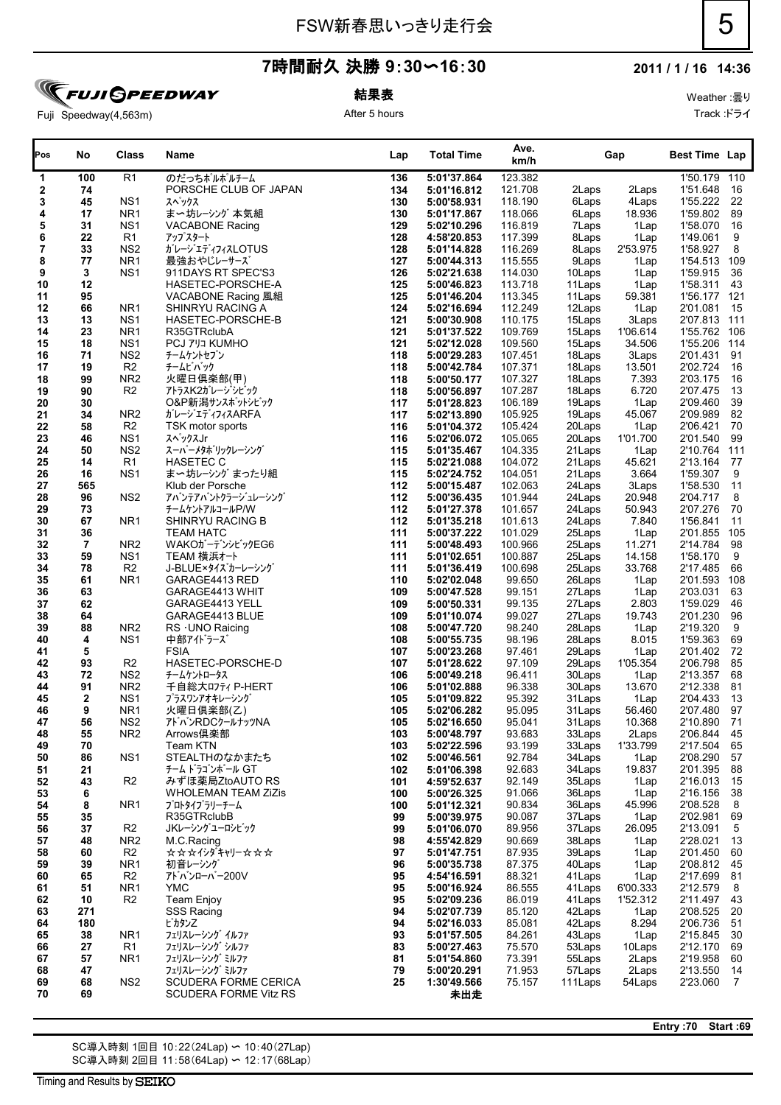### **2011 / 1 / 16 14:36**

Weather :曇り

Fuji Speedway(4,563m)

結果表

After 5 hours

| Pos      | No                | Class                              | Name                               | Lap        | <b>Total Time</b>          | Ave.<br>km/h       |                   | Gap               | <b>Best Time Lap</b>     |                |
|----------|-------------------|------------------------------------|------------------------------------|------------|----------------------------|--------------------|-------------------|-------------------|--------------------------|----------------|
| 1        | 100               | R <sub>1</sub>                     | のだっちポルポルチーム                        | 136        | 5:01'37.864                | 123.382            |                   |                   | 1'50.179 110             |                |
| 2        | 74                |                                    | PORSCHE CLUB OF JAPAN              | 134        | 5:01'16.812                | 121.708            | 2Laps             | 2Laps             | 1'51.648                 | 16             |
| 3        | 45                | NS1                                | スペックス                              | 130        | 5:00'58.931                | 118.190            | 6Laps             | 4Laps             | 1'55.222                 | -22            |
| 4        | 17                | NR <sub>1</sub>                    | ま〜坊レーシング 本気組                       | 130        | 5:01'17.867                | 118.066            | 6Laps             | 18.936            | 1'59.802                 | 89             |
| 5        | 31                | NS <sub>1</sub>                    | <b>VACABONE Racing</b>             | 129        | 5:02'10.296                | 116.819            | 7Laps             | 1Lap              | 1'58.070                 | 16             |
| 6        | 22                | R1                                 | アップスタート                            | 128        | 4:58'20.853                | 117.399            | 8Laps             | 1Lap              | 1'49.061                 | 9              |
| 7        | 33                | NS <sub>2</sub>                    | ガレージエディフィスLOTUS                    | 128        | 5:01'14.828                | 116.269            | 8Laps             | 2'53.975          | 1'58.927                 | 8              |
| 8        | 77                | NR <sub>1</sub>                    | 最強おやじレーサーズ                         | 127        | 5:00'44.313                | 115.555            | 9Laps             | 1Lap              | 1'54.513 109             |                |
| 9        | 3                 | NS <sub>1</sub>                    | 911DAYS RT SPEC'S3                 | 126        | 5:02'21.638                | 114.030            | 10Laps            | 1Lap              | 1'59.915                 | 36             |
| 10       | 12                |                                    | HASETEC-PORSCHE-A                  | 125        | 5:00'46.823                | 113.718            | 11Laps            | 1Lap              | 1'58.311                 | 43             |
| 11       | 95                |                                    | VACABONE Racing 風組                 | 125        | 5:01'46.204                | 113.345            | 11Laps            | 59.381            | 1'56.177 121             |                |
| 12       | 66                | NR <sub>1</sub>                    | SHINRYU RACING A                   | 124<br>121 | 5:02'16.694<br>5:00'30.908 | 112.249            | 12Laps            | 1Lap              | 2'01.081<br>2'07.813 111 | 15             |
| 13<br>14 | 13<br>23          | NS <sub>1</sub><br>NR <sub>1</sub> | HASETEC-PORSCHE-B                  | 121        |                            | 110.175<br>109.769 | 15Laps<br>15Laps  | 3Laps<br>1'06.614 | 1'55.762 106             |                |
| 15       | 18                | NS <sub>1</sub>                    | R35GTRclubA                        | 121        | 5:01'37.522<br>5:02'12.028 | 109.560            | 15Laps            | 34.506            | 1'55.206                 | 114            |
| 16       | 71                | NS <sub>2</sub>                    | <b>PCJ 7'JJ KUMHO</b><br>チームケントセブン | 118        | 5:00'29.283                | 107.451            | 18Laps            | 3Laps             | 2'01.431                 | 91             |
| 17       | 19                | R <sub>2</sub>                     | チームビバック                            | 118        | 5:00'42.784                | 107.371            | 18Laps            | 13.501            | 2'02.724                 | 16             |
| 18       | 99                | NR <sub>2</sub>                    | 火曜日倶楽部(甲)                          | 118        | 5:00'50.177                | 107.327            | 18Laps            | 7.393             | 2'03.175                 | 16             |
| 19       | 90                | R <sub>2</sub>                     | アトラスK2ガレージシビック                     | 118        | 5:00'56.897                | 107.287            | 18Laps            | 6.720             | 2'07.475                 | 13             |
| 20       | 30                |                                    | O&P新潟サンスポットシビック                    | 117        | 5:01'28.823                | 106.189            | 19Laps            | 1Lap              | 2'09.460                 | 39             |
| 21       | 34                | NR <sub>2</sub>                    | ガレージエディフィスARFA                     | 117        | 5:02'13.890                | 105.925            | 19Laps            | 45.067            | 2'09.989                 | 82             |
| 22       | 58                | R <sub>2</sub>                     | TSK motor sports                   | 116        | 5:01'04.372                | 105.424            | 20Laps            | 1Lap              | 2'06.421                 | 70             |
| 23       | 46                | NS1                                | スペックスJr                            | 116        | 5:02'06.072                | 105.065            | 20Laps            | 1'01.700          | 2'01.540                 | 99             |
| 24       | 50                | NS <sub>2</sub>                    | スーパーメタボリックレーシング                    | 115        | 5:01'35.467                | 104.335            | 21Laps            | 1Lap              | 2'10.764                 | 111            |
| 25       | 14                | R1                                 | <b>HASETEC C</b>                   | 115        | 5:02'21.088                | 104.072            | 21Laps            | 45.621            | 2'13.164                 | 77             |
| 26       | 16                | NS <sub>1</sub>                    | ま〜坊レーシング まったり組                     | 115        | 5:02'24.752                | 104.051            | 21Laps            | 3.664             | 1'59.307                 | 9              |
| 27       | 565               |                                    | Klub der Porsche                   | 112        | 5:00'15.487                | 102.063            | 24Laps            | 3Laps             | 1'58.530                 | 11             |
| 28       | 96                | NS <sub>2</sub>                    | アバンテアバントクラージュレーシング                 | 112        | 5:00'36.435                | 101.944            | 24Laps            | 20.948            | 2'04.717                 | 8              |
| 29       | 73                |                                    | チームケントアルコールP/W                     | 112        | 5:01'27.378                | 101.657            | 24Laps            | 50.943            | 2'07.276                 | 70             |
| 30       | 67                | NR <sub>1</sub>                    | SHINRYU RACING B                   | 112        | 5:01'35.218                | 101.613            | 24Laps            | 7.840             | 1'56.841                 | 11             |
| 31       | 36                |                                    | <b>TEAM HATC</b>                   | 111        | 5:00'37.222                | 101.029            | 25Laps            | 1Lap              | 2'01.855                 | 105            |
| 32       | $\overline{7}$    | NR <sub>2</sub>                    | WAKOガーデンシビックEG6                    | 111        | 5:00'48.493                | 100.966            | 25Laps            | 11.271            | 2'14.784                 | 98             |
| 33       | 59                | NS1                                | TEAM 横浜オート                         | 111        | 5:01'02.651                | 100.887            | 25Laps            | 14.158            | 1'58.170                 | 9              |
| 34       | 78                | R <sub>2</sub>                     | J-BLUE×タイズカーレーシング                  | 111        | 5:01'36.419                | 100.698            | 25Laps            | 33.768            | 2'17.485                 | 66             |
| 35       | 61                | NR <sub>1</sub>                    | GARAGE4413 RED                     | 110        | 5:02'02.048                | 99.650             | 26Laps            | 1Lap              | 2'01.593                 | 108            |
| 36       | 63                |                                    | GARAGE4413 WHIT                    | 109        | 5:00'47.528                | 99.151             | 27Laps            | 1Lap              | 2'03.031                 | 63             |
| 37       | 62                |                                    | GARAGE4413 YELL                    | 109        | 5:00'50.331                | 99.135             | 27Laps            | 2.803             | 1'59.029                 | 46             |
| 38       | 64                |                                    | GARAGE4413 BLUE                    | 109        | 5:01'10.074                | 99.027             | 27Laps            | 19.743            | 2'01.230                 | 96             |
| 39       | 88                | NR <sub>2</sub>                    | RS · UNO Raicing                   | 108        | 5:00'47.720                | 98.240             | 28Laps            | 1Lap              | 2'19.320                 | 9              |
| 40       | 4                 | NS <sub>1</sub>                    | 中部アイドラーズ                           | 108        | 5:00'55.735                | 98.196             | 28Laps            | 8.015             | 1'59.363                 | 69             |
| 41       | 5                 |                                    | <b>FSIA</b>                        | 107        | 5:00'23.268                | 97.461             | 29Laps            | 1Lap              | 2'01.402                 | 72             |
| 42       | 93                | R <sub>2</sub>                     | HASETEC-PORSCHE-D                  | 107        | 5:01'28.622                | 97.109             | 29Laps            | 1'05.354          | 2'06.798                 | 85             |
| 43       | 72                | NS <sub>2</sub>                    | チームケントロータス                         | 106        | 5:00'49.218                | 96.411             | 30Laps            | 1Lap              | 2'13.357                 | 68             |
| 44       | 91                | NR <sub>2</sub>                    | 千自総大ロフティ P-HERT                    | 106        | 5:01'02.888                | 96.338             | 30Laps            | 13.670            | 2'12.338                 | 81             |
| 45<br>46 | $\mathbf{2}$<br>9 | NS <sub>1</sub><br>NR <sub>1</sub> | プラスワンアオキレーシング                      | 105<br>105 | 5:01'09.822<br>5:02'06.282 | 95.392<br>95.095   | 31 Laps           | 1Lap              | 2'04.433<br>2'07.480     | 13<br>97       |
| 47       | 56                | NS <sub>2</sub>                    | 火曜日倶楽部(乙)<br>アドバンRDCクールナッツNA       | 105        |                            |                    | 31 Laps<br>31Laps | 56.460<br>10.368  | 2'10.890                 | 71             |
|          |                   |                                    | Arrows倶楽部                          |            | 5:02'16.650<br>5:00'48.797 | 95.041<br>93.683   |                   |                   |                          |                |
| 48<br>49 | 55<br>70          | NR2                                | Team KTN                           | 103<br>103 | 5:02'22.596                | 93.199             | 33Laps<br>33Laps  | 2Laps<br>1'33.799 | 2'06.844<br>2'17.504     | 45<br>65       |
| 50       | 86                | NS <sub>1</sub>                    | STEALTHのなかまたち                      | 102        | 5:00'46.561                | 92.784             | 34Laps            | 1Lap              | 2'08.290                 | 57             |
| 51       | 21                |                                    | チーム ドラゴンボール GT                     | 102        | 5:01'06.398                | 92.683             | 34Laps            | 19.837            | 2'01.395                 | 88             |
| 52       | 43                | R <sub>2</sub>                     | みずほ薬局ZtoAUTO RS                    | 101        | 4:59'52.637                | 92.149             | 35Laps            | 1Lap              | 2'16.013                 | 15             |
| 53       | 6                 |                                    | WHOLEMAN TEAM ZiZis                | 100        | 5:00'26.325                | 91.066             | 36Laps            | 1Lap              | 2'16.156                 | 38             |
| 54       | 8                 | NR1                                | プロトタイプラリーチーム                       | 100        | 5:01'12.321                | 90.834             | 36Laps            | 45.996            | 2'08.528                 | 8              |
| 55       | 35                |                                    | R35GTRclubB                        | 99         | 5:00'39.975                | 90.087             | 37Laps            | 1Lap              | 2'02.981                 | 69             |
| 56       | 37                | R <sub>2</sub>                     | JKレーシングユーロシビック                     | 99         | 5:01'06.070                | 89.956             | 37Laps            | 26.095            | 2'13.091                 | 5              |
| 57       | 48                | NR <sub>2</sub>                    | M.C.Racing                         | 98         | 4:55'42.829                | 90.669             | 38Laps            | 1Lap              | 2'28.021                 | 13             |
| 58       | 60                | R <sub>2</sub>                     | <b>☆☆☆イシダキャリー☆☆☆</b>               | 97         | 5:01'47.751                | 87.935             | 39Laps            | 1Lap              | 2'01.450                 | 60             |
| 59       | 39                | NR <sub>1</sub>                    | 初音レーシング                            | 96         | 5:00'35.738                | 87.375             | 40Laps            | 1Lap              | 2'08.812 45              |                |
| 60       | 65                | R <sub>2</sub>                     | アドバンローバー200V                       | 95         | 4:54'16.591                | 88.321             | 41Laps            | 1Lap              | 2'17.699                 | 81             |
| 61       | 51                | NR <sub>1</sub>                    | <b>YMC</b>                         | 95         | 5:00'16.924                | 86.555             | 41Laps            | 6'00.333          | 2'12.579                 | 8              |
| 62       | 10                | R <sub>2</sub>                     | <b>Team Enjoy</b>                  | 95         | 5:02'09.236                | 86.019             | 41Laps            | 1'52.312          | 2'11.497                 | 43             |
| 63       | 271               |                                    | SSS Racing                         | 94         | 5:02'07.739                | 85.120             | 42Laps            | 1Lap              | 2'08.525                 | 20             |
| 64       | 180               |                                    | ピカタン乙                              | 94         | 5:02'16.033                | 85.081             | 42Laps            | 8.294             | 2'06.736                 | 51             |
| 65       | 38                | NR <sub>1</sub>                    | フェリスレーシング イルファ                     | 93         | 5:01'57.505                | 84.261             | 43Laps            | 1Lap              | 2'15.845                 | 30             |
| 66       | 27                | R <sub>1</sub>                     | フェリスレーシング シルファ                     | 83         | 5:00'27.463                | 75.570             | 53Laps            | 10Laps            | 2'12.170                 | 69             |
| 67       | 57                | NR1                                | フェリスレーシング ミルファ                     | 81         | 5:01'54.860                | 73.391             | 55Laps            | 2Laps             | 2'19.958                 | 60             |
| 68       | 47                |                                    | フェリスレーシング ミルファ                     | 79         | 5:00'20.291                | 71.953             | 57Laps            | 2Laps             | 2'13.550                 | 14             |
| 69       | 68                | NS <sub>2</sub>                    | SCUDERA FORME CERICA               | 25         | 1:30'49.566                | 75.157             | 111 Laps          | 54Laps            | 2'23.060                 | $\overline{7}$ |
| 70       | 69                |                                    | SCUDERA FORME Vitz RS              |            | 未出走                        |                    |                   |                   |                          |                |

SC導入時刻 1回目 10:22(24Lap) 〜 10:40(27Lap) SC導入時刻 2回目 11:58(64Lap) 〜 12:17(68Lap) **Entry :70 Start :69**

Track :ドライ

# **FUJI GPEEDWAY**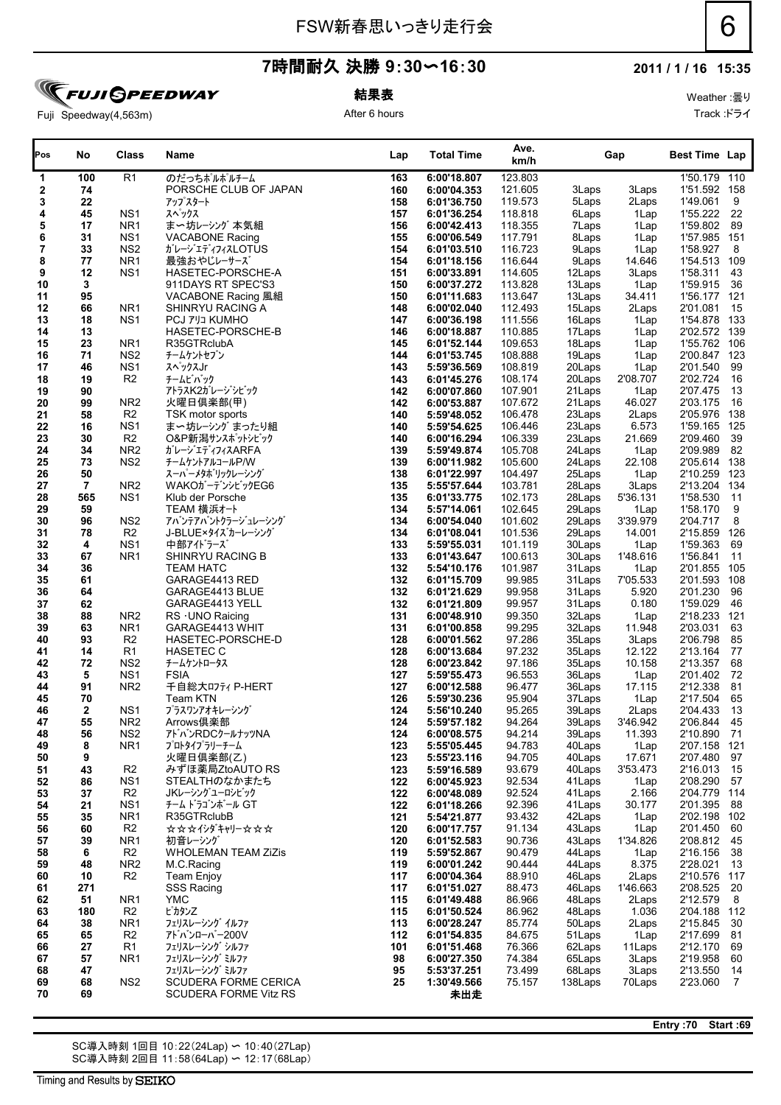### **2011 / 1 / 16 15:35**

Weather :曇り

Fuji Speedway(4,563m)

**FUJI SPEEDWAY** 

結果表 After 6 hours

| Track :ドライ |
|------------|

| Pos      | No             | <b>Class</b>    | Name                       | Lap | <b>Total Time</b>          | Ave.<br>km/h |        | Gap            | <b>Best Time Lap</b> |      |
|----------|----------------|-----------------|----------------------------|-----|----------------------------|--------------|--------|----------------|----------------------|------|
| 1        | 100            | R <sub>1</sub>  | のだっちポルポルチーム                | 163 | 6:00'18.807                | 123.803      |        |                | 1'50.179 110         |      |
| 2        | 74             |                 | PORSCHE CLUB OF JAPAN      | 160 | 6:00'04.353                | 121.605      | 3Laps  | 3Laps          | 1'51.592 158         |      |
| 3        | 22             |                 | アップスタート                    | 158 | 6:01'36.750                | 119.573      | 5Laps  | 2Laps          | 1'49.061             | 9    |
| 4        | 45             | NS <sub>1</sub> | スペックス                      | 157 | 6:01'36.254                | 118.818      | 6Laps  | 1Lap           | 1'55.222 22          |      |
| 5        | 17             | NR <sub>1</sub> | ま〜坊レーシング 本気組               | 156 | 6:00'42.413                | 118.355      | 7Laps  | 1Lap           | 1'59.802 89          |      |
| 6        | 31             | NS <sub>1</sub> | <b>VACABONE Racing</b>     | 155 | 6:00'06.549                | 117.791      | 8Laps  | 1Lap           | 1'57.985 151         |      |
| 7        | 33             | NS <sub>2</sub> | ガレージェディフィスLOTUS            | 154 | 6:01'03.510                | 116.723      | 9Laps  | 1Lap           | 1'58.927             | 8    |
| 8        | 77             | NR <sub>1</sub> | 最強おやじレーサーズ                 | 154 | 6:01'18.156                | 116.644      | 9Laps  | 14.646         | 1'54.513 109         |      |
| 9        | 12             | NS <sub>1</sub> | HASETEC-PORSCHE-A          | 151 | 6:00'33.891                | 114.605      | 12Laps | 3Laps          | 1'58.311             | 43   |
| 10       | 3              |                 | 911DAYS RT SPEC'S3         | 150 | 6:00'37.272                | 113.828      | 13Laps | 1Lap           | 1'59.915 36          |      |
| 11       | 95             |                 | VACABONE Racing 風組         | 150 | 6:01'11.683                | 113.647      | 13Laps | 34.411         | 1'56.177 121         |      |
| 12       | 66             | NR <sub>1</sub> | SHINRYU RACING A           | 148 | 6:00'02.040                | 112.493      | 15Laps | 2Laps          | 2'01.081             | 15   |
| 13       | 18             | NS <sub>1</sub> | <b>PCJ 7 JJ KUMHO</b>      | 147 | 6:00'36.198                | 111.556      | 16Laps | 1Lap           | 1'54.878 133         |      |
| 14       | 13             |                 | HASETEC-PORSCHE-B          | 146 | 6:00'18.887                | 110.885      | 17Laps | 1Lap           | 2'02.572 139         |      |
| 15       | 23             | NR <sub>1</sub> | R35GTRclubA                | 145 | 6:01'52.144                | 109.653      | 18Laps | 1Lap           | 1'55.762 106         |      |
| 16       | 71             | NS <sub>2</sub> | チームケントセブン                  | 144 | 6:01'53.745                | 108.888      | 19Laps | 1Lap           | 2'00.847 123         |      |
| 17       | 46             | NS <sub>1</sub> | スペックスJr                    | 143 | 5:59'36.569                | 108.819      | 20Laps | 1Lap           | 2'01.540 99          |      |
|          | 19             | R <sub>2</sub>  | チームビバック                    | 143 |                            | 108.174      | 20Laps | 2'08.707       | 2'02.724 16          |      |
| 18       |                |                 | アトラスK2ガレージシビック             |     | 6:01'45.276<br>6:00'07.860 | 107.901      | 21Laps |                | 2'07.475 13          |      |
| 19<br>20 | 90<br>99       | NR <sub>2</sub> | 火曜日倶楽部(甲)                  | 142 |                            | 107.672      | 21Laps | 1Lap<br>46.027 | 2'03.175             | 16   |
|          |                |                 |                            | 142 | 6:00'53.887                |              |        |                | 2'05.976 138         |      |
| 21       | 58             | R <sub>2</sub>  | TSK motor sports           | 140 | 5:59'48.052                | 106.478      | 23Laps | 2Laps          |                      |      |
| 22       | 16             | NS <sub>1</sub> | ま〜坊レーシング まったり組             | 140 | 5:59'54.625                | 106.446      | 23Laps | 6.573          | 1'59.165 125         |      |
| 23       | 30             | R <sub>2</sub>  | O&P新潟サンスポットシビック            | 140 | 6:00'16.294                | 106.339      | 23Laps | 21.669         | 2'09.460             | 39   |
| 24       | 34             | NR <sub>2</sub> | ガレージエディフィスARFA             | 139 | 5:59'49.874                | 105.708      | 24Laps | 1Lap           | 2'09.989 82          |      |
| 25       | 73             | NS <sub>2</sub> | チームケントアルコールP/W             | 139 | 6:00'11.982                | 105.600      | 24Laps | 22.108         | 2'05.614 138         |      |
| 26       | 50             |                 | スーパーメタボリックレーシング            | 138 | 6:01'22.997                | 104.497      | 25Laps | 1Lap           | 2'10.259 123         |      |
| 27       | $\overline{7}$ | NR <sub>2</sub> | WAKOガーデンシビックEG6            | 135 | 5:55'57.644                | 103.781      | 28Laps | 3Laps          | 2'13.204 134         |      |
| 28       | 565            | NS <sub>1</sub> | Klub der Porsche           | 135 | 6:01'33.775                | 102.173      | 28Laps | 5'36.131       | 1'58.530 11          |      |
| 29       | 59             |                 | TEAM 横浜オート                 | 134 | 5:57'14.061                | 102.645      | 29Laps | 1Lap           | 1'58.170             | 9    |
| 30       | 96             | NS <sub>2</sub> | アバンテアバントクラージュレーシング         | 134 | 6:00'54.040                | 101.602      | 29Laps | 3'39.979       | 2'04.717             | 8    |
| 31       | 78             | R <sub>2</sub>  | J-BLUE×タイズカーレーシング          | 134 | 6:01'08.041                | 101.536      | 29Laps | 14.001         | 2'15.859 126         |      |
| 32       | 4              | NS <sub>1</sub> | 中部アイドラーズ                   | 133 | 5:59'55.031                | 101.119      | 30Laps | 1Lap           | 1'59.363 69          |      |
| 33       | 67             | NR <sub>1</sub> | SHINRYU RACING B           | 133 | 6:01'43.647                | 100.613      | 30Laps | 1'48.616       | 1'56.841             | 11   |
| 34       | 36             |                 | <b>TEAM HATC</b>           | 132 | 5:54'10.176                | 101.987      | 31Laps | 1Lap           | 2'01.855 105         |      |
| 35       | 61             |                 | GARAGE4413 RED             | 132 | 6:01'15.709                | 99.985       | 31Laps | 7'05.533       | 2'01.593 108         |      |
| 36       | 64             |                 | GARAGE4413 BLUE            | 132 | 6:01'21.629                | 99.958       | 31Laps | 5.920          | 2'01.230             | 96   |
| 37       | 62             |                 | GARAGE4413 YELL            | 132 | 6:01'21.809                | 99.957       | 31Laps | 0.180          | 1'59.029 46          |      |
| 38       | 88             | NR <sub>2</sub> | $RS$ $\cdot$ UNO Raicing   | 131 | 6:00'48.910                | 99.350       | 32Laps | 1Lap           | 2'18.233 121         |      |
| 39       | 63             | NR1             | GARAGE4413 WHIT            | 131 | 6:01'00.858                | 99.295       | 32Laps | 11.948         | 2'03.031 63          |      |
| 40       | 93             | R <sub>2</sub>  | HASETEC-PORSCHE-D          | 128 | 6:00'01.562                | 97.286       | 35Laps | 3Laps          | 2'06.798 85          |      |
| 41       | 14             | R1              | <b>HASETEC C</b>           | 128 | 6:00'13.684                | 97.232       | 35Laps | 12.122         | 2'13.164 77          |      |
| 42       | 72             | NS <sub>2</sub> | チームケントロータス                 | 128 | 6:00'23.842                | 97.186       | 35Laps | 10.158         | 2'13.357 68          |      |
| 43       | 5              | NS <sub>1</sub> | <b>FSIA</b>                | 127 | 5:59'55.473                | 96.553       | 36Laps | 1Lap           | 2'01.402 72          |      |
| 44       | 91             | NR <sub>2</sub> | 千自総大ロフティ P-HERT            | 127 | 6:00'12.588                | 96.477       | 36Laps | 17.115         | 2'12.338             | - 81 |
| 45       | 70             |                 | Team KTN                   | 126 | 5:59'30.236                | 95.904       | 37Laps | 1Lap           | 2'17.504             | 65   |
| 46       | $\mathbf{2}$   | NS <sub>1</sub> | プラスワンアオキレーシング              | 124 | 5:56'10.240                | 95.265       | 39Laps | 2Laps          | 2'04.433             | 13   |
| 47       | 55             | NR <sub>2</sub> | Arrows俱楽部                  | 124 | 5:59'57.182                | 94.264       | 39Laps | 3'46.942       | 2'06.844             | 45   |
| 48       | 56             | NS <sub>2</sub> | アトバンRDCクールナッツNA            | 124 | 6:00'08.575                | 94.214       | 39Laps | 11.393         | 2'10.890 71          |      |
| 49       | 8              | NR1             | プロトタイプラリーチーム               | 123 | 5:55'05.445                | 94.783       | 40Laps | 1Lap           | 2'07.158 121         |      |
| 50       | 9              |                 | 火曜日倶楽部(乙)                  | 123 | 5:55'23.116                | 94.705       | 40Laps | 17.671         | 2'07.480 97          |      |
| 51       | 43             | R <sub>2</sub>  | みずほ薬局ZtoAUTO RS            | 123 | 5:59'16.589                | 93.679       | 40Laps | 3'53.473       | 2'16.013 15          |      |
| 52       | 86             | NS <sub>1</sub> | STEALTHのなかまたち              | 122 | 6:00'45.923                | 92.534       | 41Laps | 1Lap           | 2'08.290 57          |      |
| 53       | 37             | R <sub>2</sub>  | JKレーシングユーロシビック             | 122 | 6:00'48.089                | 92.524       | 41Laps | 2.166          | 2'04.779 114         |      |
| 54       | 21             | NS <sub>1</sub> | チーム ドラゴンボール GT             | 122 | 6:01'18.266                | 92.396       | 41Laps | 30.177         | 2'01.395             | - 88 |
| 55       | 35             | NR <sub>1</sub> | R35GTRclubB                | 121 | 5:54'21.877                | 93.432       | 42Laps | 1Lap           | 2'02.198 102         |      |
| 56       | 60             | R <sub>2</sub>  | <b>☆☆☆イシダキャリー☆☆☆</b>       | 120 | 6:00'17.757                | 91.134       | 43Laps | 1Lap           | 2'01.450 60          |      |
| 57       | 39             | NR <sub>1</sub> | 初音レーシング                    | 120 | 6:01'52.583                | 90.736       | 43Laps | 1'34.826       | 2'08.812 45          |      |
| 58       | 6              | R <sub>2</sub>  | <b>WHOLEMAN TEAM ZiZis</b> | 119 | 5:59'52.867                | 90.479       | 44Laps | 1Lap           | 2'16.156 38          |      |
| 59       | 48             | NR <sub>2</sub> | M.C.Racing                 | 119 | 6:00'01.242                | 90.444       | 44Laps | 8.375          | 2'28.021             | 13   |
| 60       | 10             | R2              | Team Enjoy                 | 117 | 6:00'04.364                | 88.910       | 46Laps | 2Laps          | 2'10.576 117         |      |
|          |                |                 |                            |     |                            |              |        |                |                      |      |

 **180** R2 **115 6:01'50.524** 86.962 48Laps 1.036 2'04.188 112 **38** NR1 **113 6:00'28.247** 85.774 50Laps 2Laps 2'15.845 30 フェリスレーシング イルファ **65** R2 **112 6:01'54.835** 84.675 51Laps 1Lap 2'17.699 81 アドバンローバー200V **27** R1 **101 6:01'51.468** 76.366 62Laps 11Laps 2'12.170 69 フェリスレーシング シルファ **57** NR1 **98 6:00'27.350** 74.384 65Laps 3Laps 2'19.958 60 フェリスレーシング ミルファ **47 95 5:53'37.251** 73.499 68Laps 3Laps 2'13.550 14 フェリスレーシング ミルファ **68** NS2 SCUDERA FORME CERICA **25 1:30'49.566** 75.157 138Laps 70Laps 2'23.060 7

SC導入時刻 1回目 10:22(24Lap) 〜 10:40(27Lap) SC導入時刻 2回目 11:58(64Lap) 〜 12:17(68Lap)

ピカタンZ

**69** 未出走 SCUDERA FORME Vitz RS

**Entry :70 Start :69**

 **271** SSS Racing **117 6:01'51.027** 88.473 46Laps 1'46.663 2'08.525 20 **51** NR1 YMC **115 6:01'49.488** 86.966 48Laps 2Laps 2'12.579 8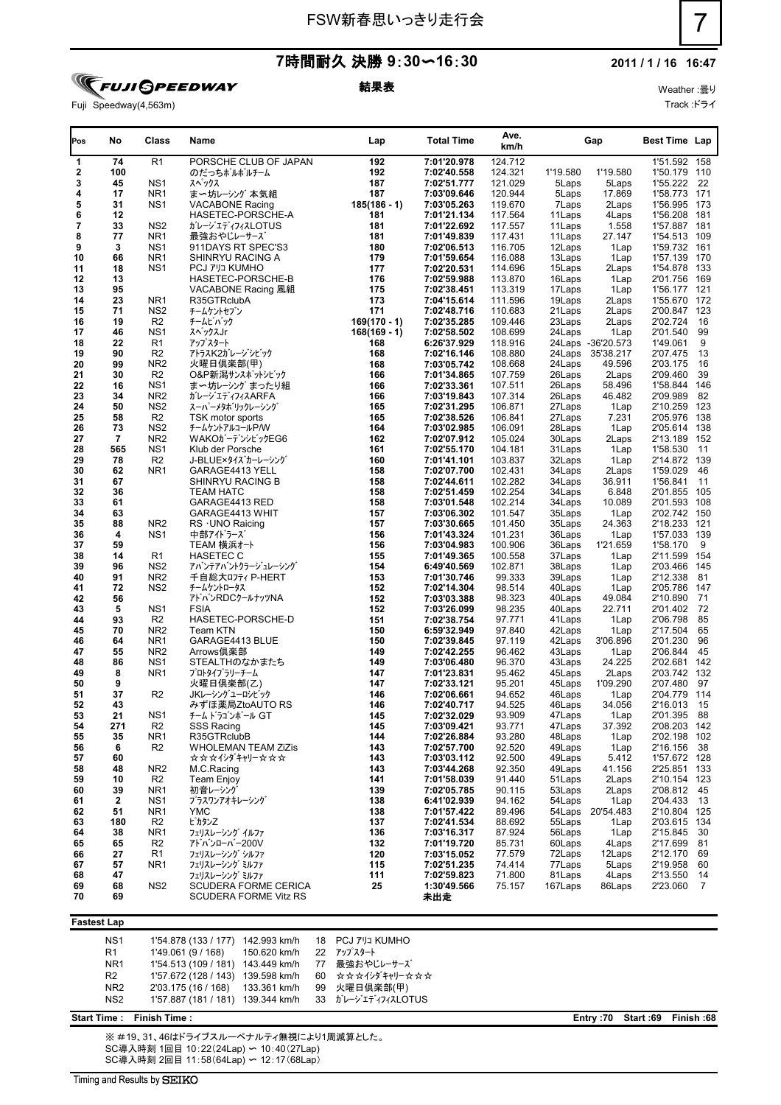

### 結果表

Weather :曇り Track :ドライ

| Fuji Speedway(4,563m) |
|-----------------------|

| Pos      | No        | Class                  | Name                                     | Lap            | <b>Total Time</b>          | Ave.<br>km/h       |                  | Gap               | Best Time Lap                |                |
|----------|-----------|------------------------|------------------------------------------|----------------|----------------------------|--------------------|------------------|-------------------|------------------------------|----------------|
| 1        | 74        | R <sub>1</sub>         | PORSCHE CLUB OF JAPAN                    | 192            | 7:01'20.978                | 124.712            |                  |                   | 1'51.592 158                 |                |
| 2        | 100       |                        | のだっちポルポルチーム                              | 192            | 7:02'40.558                | 124.321            | 1'19.580         | 1'19.580          | 1'50.179 110                 |                |
| 3        | 45        | NS <sub>1</sub>        | スペックス                                    | 187            | 7:02'51.777                | 121.029            | 5Laps            | 5Laps             | 1'55.222                     | - 22           |
| 4        | 17        | NR <sub>1</sub>        | ま〜坊レーシング 本気組                             | 187            | 7:03'09.646                | 120.944            | 5Laps            | 17.869            | 1'58.773 171                 |                |
| 5        | 31        | NS <sub>1</sub>        | <b>VACABONE Racing</b>                   | $185(186 - 1)$ | 7:03'05.263                | 119.670            | 7Laps            | 2Laps             | 1'56.995 173                 |                |
| 6        | 12        |                        | HASETEC-PORSCHE-A                        | 181            | 7:01'21.134                | 117.564            | 11Laps           | 4Laps             | 1'56.208 181                 |                |
| 7        | 33        | NS <sub>2</sub>        | ガレージェディフィスLOTUS                          | 181            | 7:01'22.692                | 117.557            | 11Laps           | 1.558             | 1'57.887 181                 |                |
| 8        | 77        | NR <sub>1</sub>        | 最強おやじレーサーズ                               | 181            | 7:01'49.839                | 117.431            | 11Laps           | 27.147            | 1'54.513 109                 |                |
| 9        | 3<br>66   | NS <sub>1</sub>        | 911DAYS RT SPEC'S3                       | 180<br>179     | 7:02'06.513                | 116.705            | 12Laps           | 1Lap              | 1'59.732 161                 |                |
| 10<br>11 | 18        | NR1<br>NS <sub>1</sub> | SHINRYU RACING A<br><b>PCJ 711 KUMHO</b> | 177            | 7:01'59.654<br>7:02'20.531 | 116.088<br>114.696 | 13Laps<br>15Laps | 1Lap<br>2Laps     | 1'57.139 170<br>1'54.878 133 |                |
| 12       | 13        |                        | HASETEC-PORSCHE-B                        | 176            | 7:02'59.988                | 113.870            | 16Laps           | 1Lap              | 2'01.756 169                 |                |
| 13       | 95        |                        | VACABONE Racing 風組                       | 175            | 7:02'38.451                | 113.319            | 17Laps           | 1Lap              | 1'56.177 121                 |                |
| 14       | 23        | NR1                    | R35GTRclubA                              | 173            | 7:04'15.614                | 111.596            | 19Laps           | 2Laps             | 1'55.670                     | 172            |
| 15       | 71        | NS <sub>2</sub>        | チームケントセブン                                | 171            | 7:02'48.716                | 110.683            | 21Laps           | 2Laps             | 2'00.847 123                 |                |
| 16       | 19        | R <sub>2</sub>         | チームビバック                                  | $169(170 - 1)$ | 7:02'35.285                | 109.446            | 23Laps           | 2Laps             | 2'02.724                     | 16             |
| 17       | 46        | NS <sub>1</sub>        | スペックスJr                                  | 168(169 - 1)   | 7:02'58.502                | 108.699            | 24Laps           | 1Lap              | 2'01.540                     | 99             |
| 18       | 22        | R1                     | アップスタート                                  | 168            | 6:26'37.929                | 118.916            |                  | 24Laps -36'20.573 | 1'49.061                     | 9              |
| 19       | 90        | R <sub>2</sub>         | アトラスK2ガレージシビック                           | 168            | 7:02'16.146                | 108.880            | 24Laps           | 35'38.217         | 2'07.475                     | 13             |
| 20       | 99        | NR <sub>2</sub>        | 火曜日倶楽部(甲)                                | 168            | 7:03'05.742                | 108.668            | 24Laps           | 49.596            | 2'03.175                     | 16             |
| 21       | 30        | R <sub>2</sub>         | O&P新潟サンスポットシビック                          | 166            | 7:01'34.865                | 107.759            | 26Laps           | 2Laps             | 2'09.460                     | 39             |
| 22       | 16        | NS1                    | ま〜坊レーシング まったり組                           | 166            | 7:02'33.361                | 107.511            | 26Laps           | 58.496            | 1'58.844                     | 146            |
| 23       | 34        | NR <sub>2</sub>        | ガレージェディフィスARFA                           | 166            | 7:03'19.843                | 107.314            | 26Laps           | 46.482            | 2'09.989                     | 82             |
| 24       | 50        | NS <sub>2</sub>        | スーパーメタボリックレーシング                          | 165            | 7:02'31.295                | 106.871            | 27Laps           | 1Lap              | 2'10.259 123                 |                |
| 25       | 58        | R <sub>2</sub>         | TSK motor sports                         | 165            | 7:02'38.526                | 106.841            | 27Laps           | 7.231             | 2'05.976 138                 |                |
| 26       | 73        | NS <sub>2</sub>        | チームケントアルコールP/W                           | 164            | 7:03'02.985                | 106.091            | 28Laps           | 1Lap              | 2'05.614 138                 |                |
| 27       | 7         | NR <sub>2</sub>        | WAKOガーデンシビックEG6                          | 162            | 7:02'07.912                | 105.024            | 30Laps           | 2Laps             | 2'13.189 152                 |                |
| 28<br>29 | 565<br>78 | NS <sub>1</sub>        | Klub der Porsche<br>J-BLUE×タイス゛カーレーシング   | 161<br>160     | 7:02'55.170                | 104.181            | 31Laps           | 1Lap              | 1'58.530<br>2'14.872 139     | 11             |
| 30       | 62        | R2<br>NR <sub>1</sub>  | GARAGE4413 YELL                          | 158            | 7:01'41.101<br>7:02'07.700 | 103.837<br>102.431 | 32Laps<br>34Laps | 1Lap<br>2Laps     | 1'59.029                     | 46             |
| 31       | 67        |                        | SHINRYU RACING B                         | 158            | 7:02'44.611                | 102.282            | 34Laps           | 36.911            | 1'56.841                     | 11             |
| 32       | 36        |                        | <b>TEAM HATC</b>                         | 158            | 7:02'51.459                | 102.254            | 34Laps           | 6.848             | 2'01.855 105                 |                |
| 33       | 61        |                        | GARAGE4413 RED                           | 158            | 7:03'01.548                | 102.214            | 34Laps           | 10.089            | 2'01.593                     | 108            |
| 34       | 63        |                        | GARAGE4413 WHIT                          | 157            | 7:03'06.302                | 101.547            | 35Laps           | 1Lap              | 2'02.742 150                 |                |
| 35       | 88        | NR <sub>2</sub>        | RS · UNO Raicing                         | 157            | 7:03'30.665                | 101.450            | 35Laps           | 24.363            | 2'18.233 121                 |                |
| 36       | 4         | NS <sub>1</sub>        | 中部アイドラーズ                                 | 156            | 7:01'43.324                | 101.231            | 36Laps           | 1Lap              | 1'57.033 139                 |                |
| 37       | 59        |                        | TEAM 横浜オート                               | 156            | 7:03'04.983                | 100.906            | 36Laps           | 1'21.659          | 1'58.170                     | 9              |
| 38       | 14        | R1                     | <b>HASETEC C</b>                         | 155            | 7:01'49.365                | 100.558            | 37Laps           | 1Lap              | 2'11.599 154                 |                |
| 39       | 96        | NS <sub>2</sub>        | アバンテアバントクラージュレーシング                       | 154            | 6:49'40.569                | 102.871            | 38Laps           | 1Lap              | 2'03.466 145                 |                |
| 40       | 91        | NR <sub>2</sub>        | 千自総大ロフティ P-HERT                          | 153            | 7:01'30.746                | 99.333             | 39Laps           | 1Lap              | 2'12.338                     | 81             |
| 41       | 72        | NS <sub>2</sub>        | チームケントロータス                               | 152            | 7:02'14.304                | 98.514             | 40Laps           | 1Lap              | 2'05.786 147                 |                |
| 42<br>43 | 56<br>5   | NS <sub>1</sub>        | アドバンRDCクールナッツNA<br><b>FSIA</b>           | 152<br>152     | 7:03'03.388<br>7:03'26.099 | 98.323<br>98.235   | 40Laps           | 49.084<br>22.711  | 2'10.890                     | 71<br>72       |
| 44       | 93        | R <sub>2</sub>         | HASETEC-PORSCHE-D                        | 151            | 7:02'38.754                | 97.771             | 40Laps<br>41Laps | 1Lap              | 2'01.402<br>2'06.798         | 85             |
| 45       | 70        | NR <sub>2</sub>        | Team KTN                                 | 150            | 6:59'32.949                | 97.840             | 42Laps           | 1Lap              | 2'17.504                     | 65             |
| 46       | 64        | NR1                    | GARAGE4413 BLUE                          | 150            | 7:02'39.845                | 97.119             | 42Laps           | 3'06.896          | 2'01.230                     | 96             |
| 47       | 55        | NR <sub>2</sub>        | Arrows倶楽部                                | 149            | 7:02'42.255                | 96.462             | 43Laps           | 1Lap              | 2'06.844                     | 45             |
| 48       | 86        | NS <sub>1</sub>        | STEALTHのなかまたち                            | 149            | 7:03'06.480                | 96.370             | 43Laps           | 24.225            | 2'02.681                     | 142            |
| 49       | 8         | NR1                    | ブロトタイプラリーチーム                             | 147            | 7:01'23.831                | 95.462             | 45Laps           | 2Laps             | 2'03.742 132                 |                |
| 50       | 9         |                        | 火曜日倶楽部(乙)                                | 147            | 7:02'33.121                | 95.201             | 45Laps           | 1'09.290          | 2'07.480                     | 97             |
| 51       | 37        | R <sub>2</sub>         | JKレーシングユーロシビック                           | 146            | 7:02'06.661                | 94.652             | 46Laps           | 1Lap              | 2'04.779 114                 |                |
| 52       | 43        |                        | みずほ薬局ZtoAUTO RS                          | 146            | 7:02'40.717                | 94.525             | 46Laps           | 34.056            | 2'16.013                     | 15             |
| 53       | 21        | NS <sub>1</sub>        | チーム ドラゴンボール GT                           | 145            | 7:02'32.029                | 93.909             | 47Laps           | 1Lap              | 2'01.395 88                  |                |
| 54       | 271       | R <sub>2</sub>         | <b>SSS Racing</b>                        | 145            | 7:03'09.421                | 93.771             | 47Laps           | 37.392            | 2'08.203 142                 |                |
| 55       | 35        | NR1                    | R35GTRclubB                              | 144            | 7:02'26.884                | 93.280             | 48Laps           | 1Lap              | 2'02.198 102                 |                |
| 56       | 6         | R <sub>2</sub>         | <b>WHOLEMAN TEAM ZiZis</b>               | 143            | 7:02'57.700                | 92.520             | 49Laps           | 1Lap              | 2'16.156                     | - 38           |
| 57       | 60        |                        | <b>☆☆☆イシダキャリー☆☆☆</b>                     | 143            | 7:03'03.112                | 92.500             | 49Laps           | 5.412             | 1'57.672 128                 |                |
| 58<br>59 | 48<br>10  | NR <sub>2</sub><br>R2  | M.C.Racing<br><b>Team Enjoy</b>          | 143<br>141     | 7:03'44.268<br>7:01'58.039 | 92.350<br>91.440   | 49Laps<br>51Laps | 41.156<br>2Laps   | 2'25.851 133<br>2'10.154 123 |                |
| 60       | 39        | NR <sub>1</sub>        | 初音レーシング                                  | 139            | 7:02'05.785                | 90.115             | 53Laps           | 2Laps             | 2'08.812 45                  |                |
| 61       | 2         | NS <sub>1</sub>        | プラスワンアオキレーシング                            | 138            | 6:41'02.939                | 94.162             | 54Laps           | 1Lap              | 2'04.433                     | 13             |
| 62       | 51        | NR <sub>1</sub>        | <b>YMC</b>                               | 138            | 7:01'57.422                | 89.496             |                  | 54Laps 20'54.483  | 2'10.804 125                 |                |
| 63       | 180       | R <sub>2</sub>         | ピカタンZ                                    | 137            | 7:02'41.534                | 88.692             | 55Laps           | 1Lap              | 2'03.615 134                 |                |
| 64       | 38        | NR1                    | フェリスレーシング イルファ                           | 136            | 7:03'16.317                | 87.924             | 56Laps           | 1Lap              | 2'15.845                     | 30             |
| 65       | 65        | R <sub>2</sub>         | アドバンローバー200V                             | 132            | 7:01'19.720                | 85.731             | 60Laps           | 4Laps             | 2'17.699                     | 81             |
| 66       | 27        | R1                     | フェリスレーシング シルファ                           | 120            | 7:03'15.052                | 77.579             | 72Laps           | 12Laps            | 2'12.170                     | 69             |
| 67       | 57        | NR1                    | フェリスレーシング ミルファ                           | 115            | 7:02'51.235                | 74.414             | 77Laps           | 5Laps             | 2'19.958                     | 60             |
| 68       | 47        |                        | フェリスレーシング ミルファ                           | 111            | 7:02'59.823                | 71.800             | 81Laps           | 4Laps             | 2'13.550                     | 14             |
| 69       | 68        | NS <sub>2</sub>        | <b>SCUDERA FORME CERICA</b>              | 25             | 1:30'49.566                | 75.157             | 167Laps          | 86Laps            | 2'23.060                     | $\overline{7}$ |
| 70       | 69        |                        | <b>SCUDERA FORME Vitz RS</b>             |                | 未出走                        |                    |                  |                   |                              |                |

**Fastest Lap**

| NS1             | 1'54.878 (133 / 177) | 142.993 km/h | 18 PCJ 7 JJ KUMHO                                |
|-----------------|----------------------|--------------|--------------------------------------------------|
| R1              | 1'49.061 (9 / 168)   | 150.620 km/h | $22$ $70$ $70$ $70$ $-10$                        |
| NR <sub>1</sub> | 1'54.513 (109 / 181) | 143.449 km/h | 77 最強おやじレーサーズ                                    |
| R <sub>2</sub>  | 1'57.672 (128 / 143) | 139.598 km/h | $60 \, \text{m} \times \text{m} \times \text{m}$ |
| NR <sub>2</sub> | 2'03.175 (16 / 168)  | 133.361 km/h | 99 火曜日倶楽部(甲)                                     |
| NS <sub>2</sub> | 1'57.887 (181 / 181) | 139.344 km/h | 33 ガレージエディフィスLOTUS                               |
|                 |                      |              |                                                  |

※ #19、31、46はドライブスルーペナルティ無視により1周減算とした。 SC導入時刻 1回目 10:22(24Lap) 〜 10:40(27Lap) SC導入時刻 2回目 11:58(64Lap) 〜 12:17(68Lap)

**Start Time : Finish Time : Entry :70 Start :69 Finish :68**